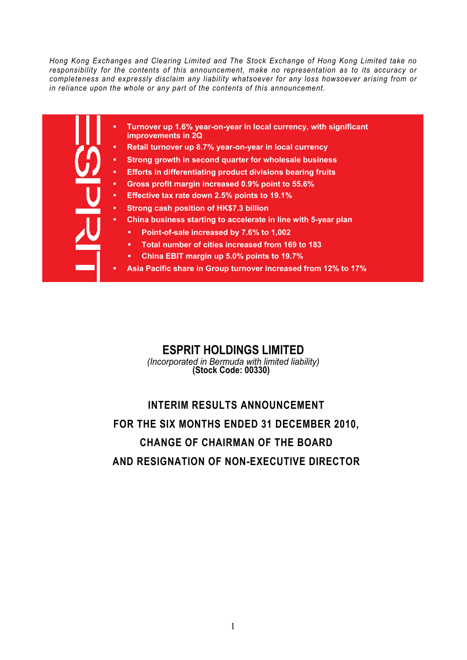*Hong Kong Exchanges and Clearing Limited and The Stock Exchange of Hong Kong Limited take no responsibility for the contents of this announcement, make no representation as to its accuracy or completeness and expressly disclaim any liability whatsoever for any loss howsoever arising from or in reliance upon the whole or any part of the contents of this announcement.* 

- **Turnover up 1.6% year-on-year in local currency, with significant improvements in 2Q** 
	- **Retail turnover up 8.7% year-on-year in local currency**
- **Strong growth in second quarter for wholesale business**
- **Efforts in differentiating product divisions bearing fruits**
- **Gross profit margin increased 0.9% point to 55.6%**
- **Effective tax rate down 2.5% points to 19.1%**
- **Strong cash position of HK\$7.3 billion**
- **China business starting to accelerate in line with 5-year plan** 
	- **Point-of-sale increased by 7.6% to 1,002**
	- **Total number of cities increased from 169 to 183**
	- **China EBIT margin up 5.0% points to 19.7%**
- **Asia Pacific share in Group turnover increased from 12% to 17%**

### **ESPRIT HOLDINGS LIMITED**

*(Incorporated in Bermuda with limited liability)* **(Stock Code: 00330)**

# **INTERIM RESULTS ANNOUNCEMENT FOR THE SIX MONTHS ENDED 31 DECEMBER 2010, CHANGE OF CHAIRMAN OF THE BOARD AND RESIGNATION OF NON-EXECUTIVE DIRECTOR**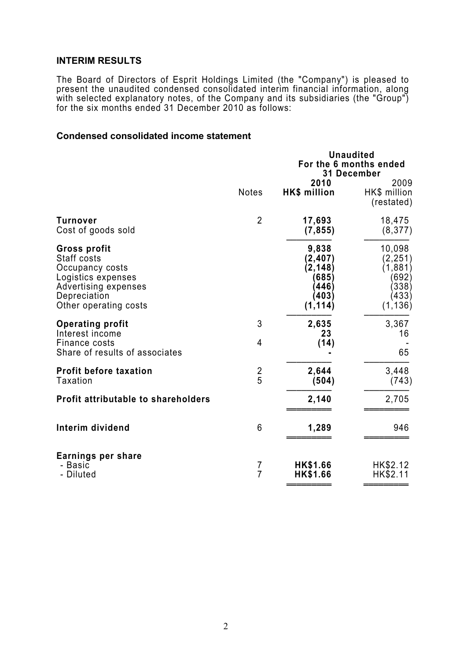### **INTERIM RESULTS**

The Board of Directors of Esprit Holdings Limited (the "Company") is pleased to present the unaudited condensed consolidated interim financial information, along with selected explanatory notes, of the Company and its subsidiaries (the "Group") for the six months ended 31 December 2010 as follows:

### **Condensed consolidated income statement**

|                                                                                                                                       |                     | <b>Unaudited</b><br>For the 6 months ended<br>31 December            |                                                                      |
|---------------------------------------------------------------------------------------------------------------------------------------|---------------------|----------------------------------------------------------------------|----------------------------------------------------------------------|
|                                                                                                                                       | <b>Notes</b>        | 2010<br><b>HK\$</b> million                                          | 2009<br>HK\$ million<br>(restated)                                   |
| <b>Turnover</b><br>Cost of goods sold                                                                                                 | $\overline{2}$      | 17,693<br>(7, 855)                                                   | 18,475<br>(8, 377)                                                   |
| Gross profit<br>Staff costs<br>Occupancy costs<br>Logistics expenses<br>Advertising expenses<br>Depreciation<br>Other operating costs |                     | 9,838<br>(2, 407)<br>(2, 148)<br>(685)<br>(446)<br>(403)<br>(1, 114) | 10,098<br>(2, 251)<br>(1,881)<br>(692)<br>(338)<br>(433)<br>(1, 136) |
| <b>Operating profit</b><br>Interest income<br>Finance costs<br>Share of results of associates                                         | 3<br>4              | 2,635<br>23<br>(14)                                                  | 3,367<br>16<br>65                                                    |
| <b>Profit before taxation</b><br><b>Taxation</b>                                                                                      | $rac{2}{5}$         | 2,644<br>(504)                                                       | 3,448<br>(743)                                                       |
| <b>Profit attributable to shareholders</b>                                                                                            |                     | 2,140                                                                | 2,705                                                                |
| Interim dividend                                                                                                                      | 6                   | 1,289                                                                | 946                                                                  |
| Earnings per share<br>- Basic<br>- Diluted                                                                                            | 7<br>$\overline{7}$ | HK\$1.66<br><b>HK\$1.66</b>                                          | HK\$2.12<br>HK\$2.11                                                 |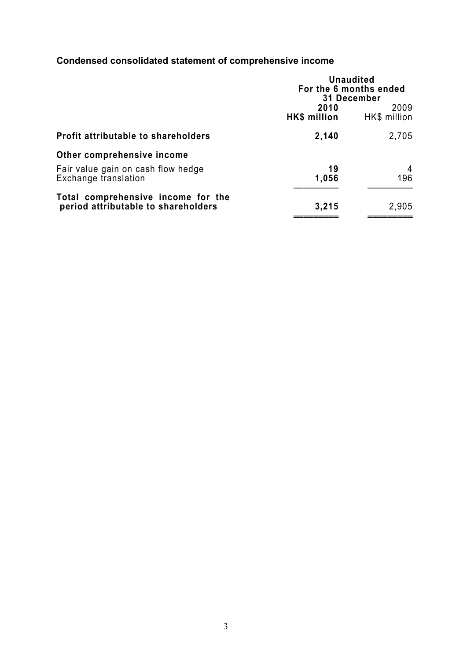## **Condensed consolidated statement of comprehensive income**

|                                                                           | <b>Unaudited</b><br>For the 6 months ended<br>31 December |                      |
|---------------------------------------------------------------------------|-----------------------------------------------------------|----------------------|
|                                                                           | 2010<br>HK\$ million                                      | 2009<br>HK\$ million |
| Profit attributable to shareholders                                       | 2,140                                                     | 2,705                |
| Other comprehensive income                                                |                                                           |                      |
| Fair value gain on cash flow hedge<br>Exchange translation                | 19<br>1,056                                               | 4<br>196             |
| Total comprehensive income for the<br>period attributable to shareholders | 3,215                                                     | 2,905                |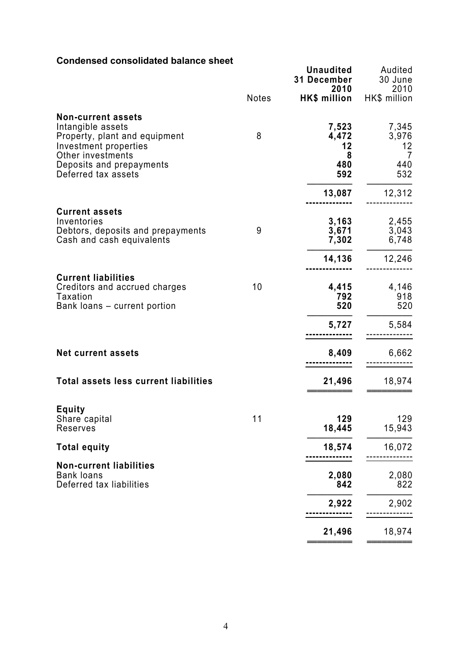### **Condensed consolidated balance sheet**

| Condensed consolidated balance sheet                                                                                                                                             | <b>Notes</b> | <b>Unaudited</b><br>31 December<br>2010<br><b>HK\$ million</b> | Audited<br>30 June<br>2010<br>HK\$ million        |
|----------------------------------------------------------------------------------------------------------------------------------------------------------------------------------|--------------|----------------------------------------------------------------|---------------------------------------------------|
| <b>Non-current assets</b><br>Intangible assets<br>Property, plant and equipment<br>Investment properties<br>Other investments<br>Deposits and prepayments<br>Deferred tax assets | 8            | 7,523<br>4,472<br>12<br>8<br>480<br>592<br>13,087              | 7,345<br>3,976<br>12<br>7<br>440<br>532<br>12,312 |
| <b>Current assets</b><br>Inventories<br>Debtors, deposits and prepayments<br>Cash and cash equivalents                                                                           | 9            | 3,163<br>3,671<br>7,302                                        | 2,455<br>3,043<br>6,748                           |
| <b>Current liabilities</b><br>Creditors and accrued charges<br>Taxation<br>Bank loans - current portion                                                                          | 10           | 14,136<br>4,415<br>792<br>520                                  | 12,246<br>4,146<br>918<br>520                     |
| <b>Net current assets</b>                                                                                                                                                        |              | 5,727<br>8,409                                                 | 5,584<br>6,662                                    |
| <b>Total assets less current liabilities</b><br><b>Equity</b><br>Share capital                                                                                                   | 11           | 21,496<br>129                                                  | 18,974<br>129                                     |
| Reserves<br><b>Total equity</b>                                                                                                                                                  |              | 18,445<br>18,574                                               | 15,943<br>16,072                                  |
| <b>Non-current liabilities</b><br><b>Bank loans</b><br>Deferred tax liabilities                                                                                                  |              | 2,080<br>842                                                   | 2,080<br>822                                      |
|                                                                                                                                                                                  |              | 2,922<br>21,496                                                | 2,902<br>18,974                                   |
|                                                                                                                                                                                  |              |                                                                |                                                   |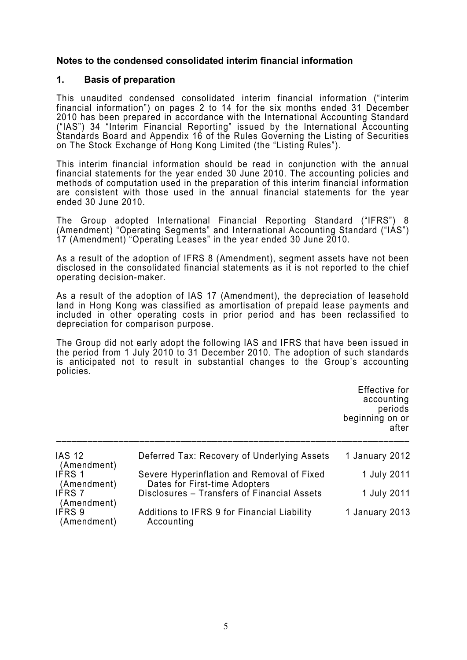### **Notes to the condensed consolidated interim financial information**

#### **1. Basis of preparation**

This unaudited condensed consolidated interim financial information ("interim financial information") on pages 2 to 14 for the six months ended 31 December 2010 has been prepared in accordance with the International Accounting Standard ("IAS") 34 "Interim Financial Reporting" issued by the International Accounting Standards Board and Appendix 16 of the Rules Governing the Listing of Securities on The Stock Exchange of Hong Kong Limited (the "Listing Rules").

This interim financial information should be read in conjunction with the annual financial statements for the year ended 30 June 2010. The accounting policies and methods of computation used in the preparation of this interim financial information are consistent with those used in the annual financial statements for the year ended 30 June 2010.

The Group adopted International Financial Reporting Standard ("IFRS") 8 (Amendment) "Operating Segments" and International Accounting Standard ("IAS") 17 (Amendment) "Operating Leases" in the year ended 30 June 2010.

As a result of the adoption of IFRS 8 (Amendment), segment assets have not been disclosed in the consolidated financial statements as it is not reported to the chief operating decision-maker.

As a result of the adoption of IAS 17 (Amendment), the depreciation of leasehold land in Hong Kong was classified as amortisation of prepaid lease payments and included in other operating costs in prior period and has been reclassified to depreciation for comparison purpose.

The Group did not early adopt the following IAS and IFRS that have been issued in the period from 1 July 2010 to 31 December 2010. The adoption of such standards is anticipated not to result in substantial changes to the Group's accounting policies.

> Effective for accounting periods beginning on or after

| <b>IAS 12</b><br>(Amendment) | Deferred Tax: Recovery of Underlying Assets                                 | 1 January 2012 |
|------------------------------|-----------------------------------------------------------------------------|----------------|
| <b>IFRS 1</b><br>(Amendment) | Severe Hyperinflation and Removal of Fixed<br>Dates for First-time Adopters | 1 July 2011    |
| <b>IFRS 7</b><br>(Amendment) | Disclosures - Transfers of Financial Assets                                 | 1 July 2011    |
| IFRS 9<br>(Amendment)        | Additions to IFRS 9 for Financial Liability<br>Accounting                   | 1 January 2013 |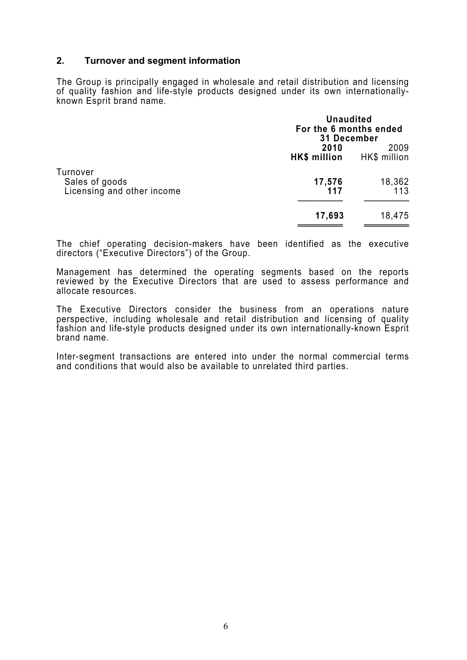### **2. Turnover and segment information**

The Group is principally engaged in wholesale and retail distribution and licensing of quality fashion and life-style products designed under its own internationallyknown Esprit brand name.

|                                                          | <b>Unaudited</b><br>For the 6 months ended<br>31 December |                      |
|----------------------------------------------------------|-----------------------------------------------------------|----------------------|
|                                                          | 2010<br>HK\$ million                                      | 2009<br>HK\$ million |
| Turnover<br>Sales of goods<br>Licensing and other income | 17,576<br>117                                             | 18,362<br>113        |
|                                                          | 17,693                                                    | 18,475               |

The chief operating decision-makers have been identified as the executive directors ("Executive Directors") of the Group.

Management has determined the operating segments based on the reports reviewed by the Executive Directors that are used to assess performance and allocate resources.

The Executive Directors consider the business from an operations nature perspective, including wholesale and retail distribution and licensing of quality fashion and life-style products designed under its own internationally-known Esprit brand name.

Inter-segment transactions are entered into under the normal commercial terms and conditions that would also be available to unrelated third parties.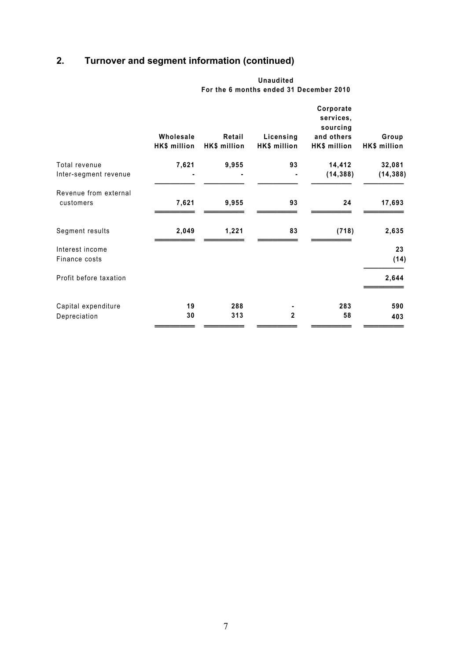## **2. Turnover and segment information (continued)**

|                                        | Wholesale<br>HK\$ million | Retail<br>HK\$ million | Licensing<br>HK\$ million | Corporate<br>services,<br>sourcing<br>and others<br>HK\$ million | Group<br>HK\$ million |
|----------------------------------------|---------------------------|------------------------|---------------------------|------------------------------------------------------------------|-----------------------|
| Total revenue<br>Inter-segment revenue | 7,621                     | 9,955                  | 93                        | 14,412<br>(14, 388)                                              | 32,081<br>(14, 388)   |
| Revenue from external<br>customers     | 7,621                     | 9,955                  | 93                        | 24                                                               | 17,693                |
| Segment results                        | 2,049                     | 1,221                  | 83                        | (718)                                                            | 2,635                 |
| Interest income<br>Finance costs       |                           |                        |                           |                                                                  | 23<br>(14)            |
| Profit before taxation                 |                           |                        |                           |                                                                  | 2,644                 |
| Capital expenditure<br>Depreciation    | 19<br>30                  | 288<br>313             | $\overline{2}$            | 283<br>58                                                        | 590<br>403            |

 **Unaudited For the 6 months ended 31 December 2010**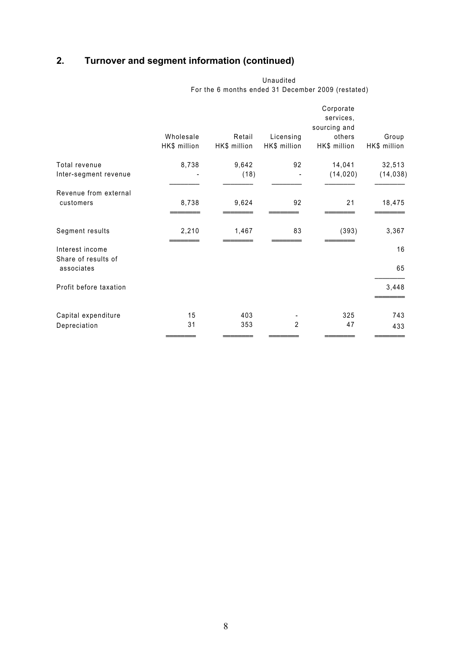## **2. Turnover and segment information (continued)**

|                                        | Wholesale<br>HK\$ million | Retail<br>HK\$ million | Licensing<br>HK\$ million | Corporate<br>services,<br>sourcing and<br>others<br>HK\$ million | Group<br>HK\$ million |
|----------------------------------------|---------------------------|------------------------|---------------------------|------------------------------------------------------------------|-----------------------|
| Total revenue<br>Inter-segment revenue | 8,738                     | 9,642<br>(18)          | 92                        | 14,041<br>(14, 020)                                              | 32,513<br>(14, 038)   |
| Revenue from external<br>customers     | 8,738                     | 9,624                  | 92                        | 21                                                               | 18,475                |
| Segment results                        | 2,210                     | 1,467                  | 83                        | (393)                                                            | 3,367                 |
| Interest income                        |                           |                        |                           |                                                                  | 16                    |
| Share of results of<br>associates      |                           |                        |                           |                                                                  | 65                    |
| Profit before taxation                 |                           |                        |                           |                                                                  | 3,448                 |
| Capital expenditure<br>Depreciation    | 15<br>31                  | 403<br>353             | $\overline{2}$            | 325<br>47                                                        | 743<br>433            |
|                                        |                           |                        |                           |                                                                  |                       |

Unaudited For the 6 months ended 31 December 2009 (restated)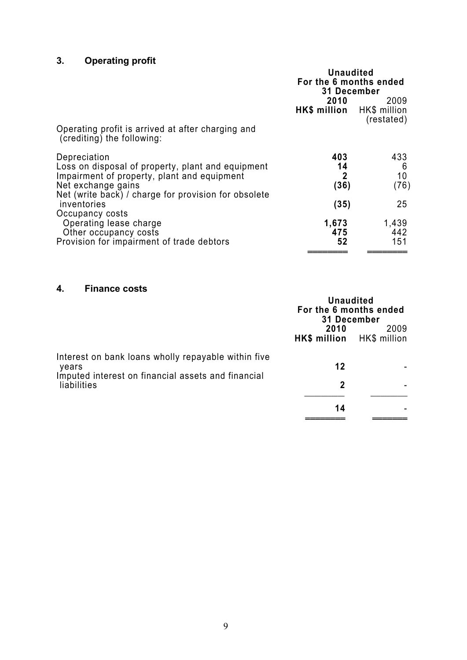## **3. Operating profit**

|                                                                                                                                                                                                | <b>Unaudited</b><br>For the 6 months ended<br><b>31 December</b> |                                     |
|------------------------------------------------------------------------------------------------------------------------------------------------------------------------------------------------|------------------------------------------------------------------|-------------------------------------|
| Operating profit is arrived at after charging and<br>(crediting) the following:                                                                                                                | 2010<br>HK\$ million HK\$ million                                | 2009<br>(restated)                  |
| Depreciation<br>Loss on disposal of property, plant and equipment<br>Impairment of property, plant and equipment<br>Net exchange gains<br>Net (write back) / charge for provision for obsolete | 403<br>14<br>$\mathbf{2}$<br>(36)                                | 433<br>6<br>10 <sup>1</sup><br>(76) |
| inventories<br>Occupancy costs<br>Operating lease charge<br>Other occupancy costs<br>Provision for impairment of trade debtors                                                                 | (35)<br>1,673<br>475<br>52                                       | 25<br>1,439<br>442<br>151           |

### **4. Finance costs**

|                                                                   | <b>Unaudited</b><br>For the 6 months ended<br>31 December<br>2010<br>HK\$ million HK\$ million | 2009 |
|-------------------------------------------------------------------|------------------------------------------------------------------------------------------------|------|
| Interest on bank loans wholly repayable within five<br>vears      | 12                                                                                             |      |
| Imputed interest on financial assets and financial<br>liabilities | $\mathbf{2}$                                                                                   |      |
|                                                                   | 14                                                                                             |      |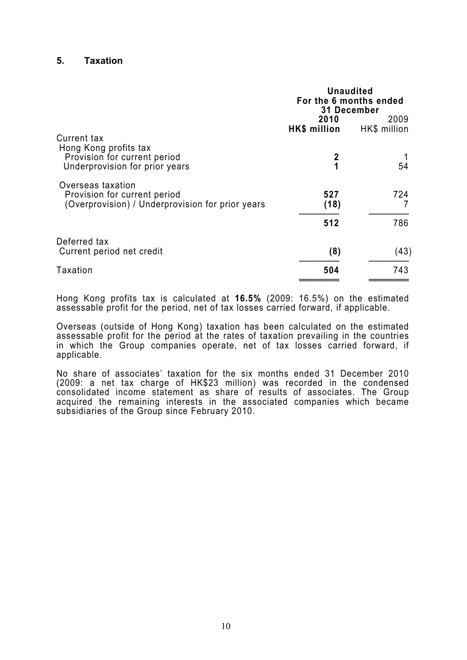#### **5. Taxation**

|                                                                                                       | <b>Unaudited</b><br>For the 6 months ended<br><b>31 December</b><br>2010<br>2009<br>HK\$ million<br>HK\$ million |      |  |
|-------------------------------------------------------------------------------------------------------|------------------------------------------------------------------------------------------------------------------|------|--|
| Current tax                                                                                           |                                                                                                                  |      |  |
| Hong Kong profits tax<br>Provision for current period<br>Underprovision for prior years               | 2<br>1                                                                                                           | 54   |  |
| Overseas taxation<br>Provision for current period<br>(Overprovision) / Underprovision for prior years | 527<br>(18)                                                                                                      | 724  |  |
|                                                                                                       | 512                                                                                                              | 786  |  |
| Deferred tax                                                                                          |                                                                                                                  |      |  |
| Current period net credit                                                                             | (8)                                                                                                              | (43) |  |
| Taxation                                                                                              | 504                                                                                                              | 743  |  |
|                                                                                                       |                                                                                                                  |      |  |

Hong Kong profits tax is calculated at **16.5%** (2009: 16.5%) on the estimated assessable profit for the period, net of tax losses carried forward, if applicable.

Overseas (outside of Hong Kong) taxation has been calculated on the estimated assessable profit for the period at the rates of taxation prevailing in the countries in which the Group companies operate, net of tax losses carried forward, if applicable.

No share of associates' taxation for the six months ended 31 December 2010 (2009: a net tax charge of HK\$23 million) was recorded in the condensed consolidated income statement as share of results of associates. The Group acquired the remaining interests in the associated companies which became subsidiaries of the Group since February 2010.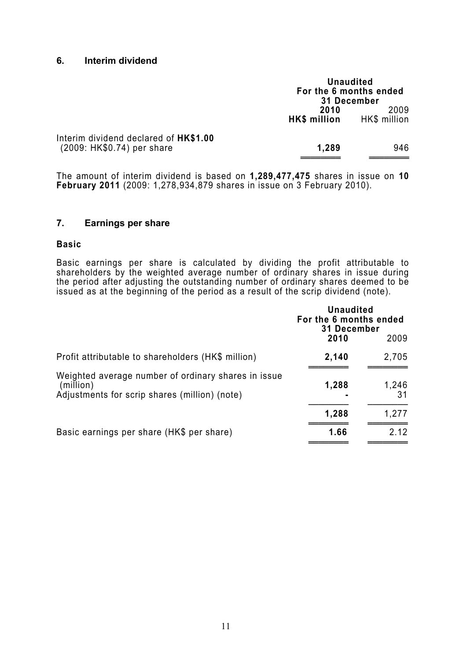#### **6. Interim dividend**

|                                                                     |                      | <b>Unaudited</b><br>For the 6 months ended<br>31 December |
|---------------------------------------------------------------------|----------------------|-----------------------------------------------------------|
|                                                                     | 2010<br>HK\$ million | 2009<br>HK\$ million                                      |
| Interim dividend declared of HK\$1.00<br>(2009: HK\$0.74) per share | 1,289                | 946                                                       |

The amount of interim dividend is based on **1,289,477,475** shares in issue on **10 February 2011** (2009: 1,278,934,879 shares in issue on 3 February 2010).

### **7. Earnings per share**

#### **Basic**

Basic earnings per share is calculated by dividing the profit attributable to shareholders by the weighted average number of ordinary shares in issue during the period after adjusting the outstanding number of ordinary shares deemed to be issued as at the beginning of the period as a result of the scrip dividend (note).

|                                                                                                                   | <b>Unaudited</b><br>For the 6 months ended<br>31 December |             |
|-------------------------------------------------------------------------------------------------------------------|-----------------------------------------------------------|-------------|
|                                                                                                                   | 2010                                                      | 2009        |
| Profit attributable to shareholders (HK\$ million)                                                                | 2,140                                                     | 2,705       |
| Weighted average number of ordinary shares in issue<br>(million)<br>Adjustments for scrip shares (million) (note) | 1,288                                                     | 1,246<br>31 |
|                                                                                                                   | 1,288                                                     | 1,277       |
| Basic earnings per share (HK\$ per share)                                                                         | 1.66                                                      | 2.12        |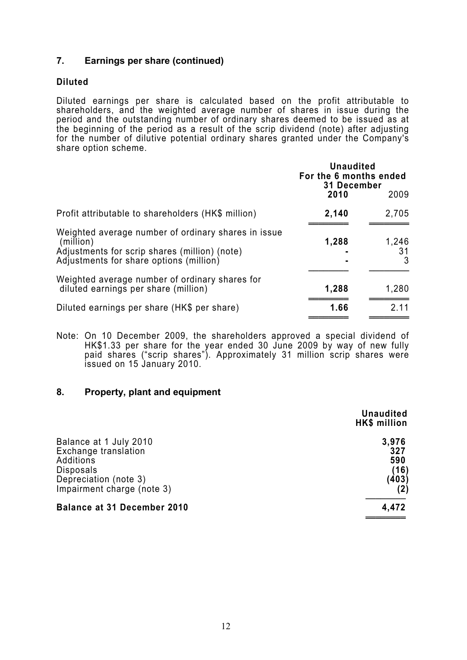### **7. Earnings per share (continued)**

### **Diluted**

Diluted earnings per share is calculated based on the profit attributable to shareholders, and the weighted average number of shares in issue during the period and the outstanding number of ordinary shares deemed to be issued as at the beginning of the period as a result of the scrip dividend (note) after adjusting for the number of dilutive potential ordinary shares granted under the Company's share option scheme.

|                                                                                                                                                              | <b>Unaudited</b><br>For the 6 months ended<br>31 December |                  |
|--------------------------------------------------------------------------------------------------------------------------------------------------------------|-----------------------------------------------------------|------------------|
|                                                                                                                                                              | 2010                                                      | 2009             |
| Profit attributable to shareholders (HK\$ million)                                                                                                           | 2,140                                                     | 2,705            |
| Weighted average number of ordinary shares in issue<br>(million)<br>Adjustments for scrip shares (million) (note)<br>Adjustments for share options (million) | 1,288                                                     | 1,246<br>31<br>3 |
| Weighted average number of ordinary shares for<br>diluted earnings per share (million)                                                                       | 1,288                                                     | 1,280            |
| Diluted earnings per share (HK\$ per share)                                                                                                                  | 1.66                                                      | 2.11             |

Note: On 10 December 2009, the shareholders approved a special dividend of HK\$1.33 per share for the year ended 30 June 2009 by way of new fully paid shares ("scrip shares"). Approximately 31 million scrip shares were issued on 15 January 2010.

#### **8. Property, plant and equipment**

|                                                                                                                                        | <b>Unaudited</b><br>HK\$ million     |
|----------------------------------------------------------------------------------------------------------------------------------------|--------------------------------------|
| Balance at 1 July 2010<br>Exchange translation<br>Additions<br><b>Disposals</b><br>Depreciation (note 3)<br>Impairment charge (note 3) | 3,976<br>327<br>590<br>(16)<br>(403) |
| <b>Balance at 31 December 2010</b>                                                                                                     | 4,472                                |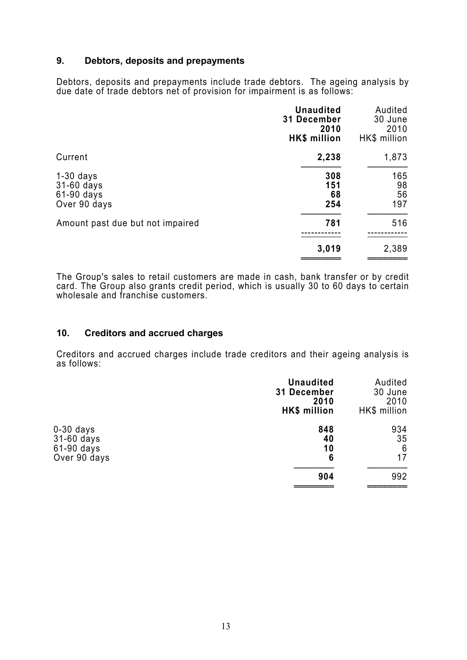### **9. Debtors, deposits and prepayments**

Debtors, deposits and prepayments include trade debtors. The ageing analysis by due date of trade debtors net of provision for impairment is as follows:

|                                                         | <b>Unaudited</b><br>31 December<br>2010<br>HK\$ million | Audited<br>30 June<br>2010<br>HK\$ million |
|---------------------------------------------------------|---------------------------------------------------------|--------------------------------------------|
| Current                                                 | 2,238                                                   | 1,873                                      |
| $1-30$ days<br>31-60 days<br>61-90 days<br>Over 90 days | 308<br>151<br>68<br>254                                 | 165<br>98<br>56<br>197                     |
| Amount past due but not impaired                        | 781                                                     | 516                                        |
|                                                         | 3,019                                                   | 2,389                                      |

The Group's sales to retail customers are made in cash, bank transfer or by credit card. The Group also grants credit period, which is usually 30 to 60 days to certain wholesale and franchise customers.

### **10. Creditors and accrued charges**

Creditors and accrued charges include trade creditors and their ageing analysis is as follows:

|                                         | <b>Unaudited</b><br>31 December<br>2010<br>HK\$ million | Audited<br>30 June<br>2010<br>HK\$ million |
|-----------------------------------------|---------------------------------------------------------|--------------------------------------------|
| $0-30$ days<br>31-60 days<br>61-90 days | 848<br>40<br>10                                         | 934<br>35<br>6                             |
| Over 90 days                            | 6<br>904                                                | 17<br>992                                  |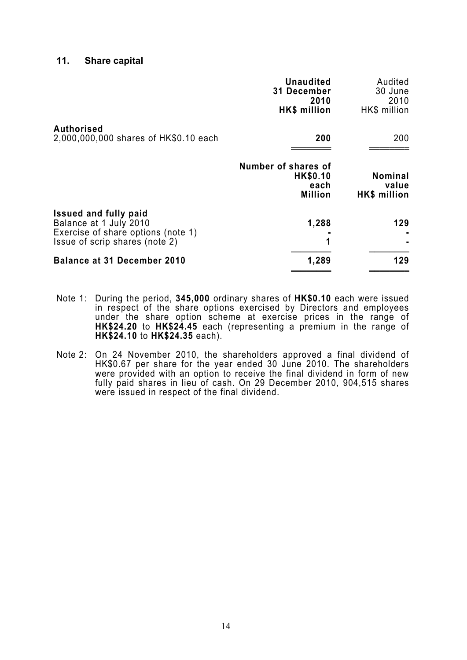#### **11. Share capital**

|                                                                                                                                | <b>Unaudited</b><br>31 December<br>2010<br>HK\$ million   | Audited<br>30 June<br>2010<br>HK\$ million |
|--------------------------------------------------------------------------------------------------------------------------------|-----------------------------------------------------------|--------------------------------------------|
| <b>Authorised</b><br>2,000,000,000 shares of HK\$0.10 each                                                                     | 200                                                       | 200                                        |
|                                                                                                                                | Number of shares of<br>HK\$0.10<br>each<br><b>Million</b> | <b>Nominal</b><br>value<br>HK\$ million    |
| <b>Issued and fully paid</b><br>Balance at 1 July 2010<br>Exercise of share options (note 1)<br>Issue of scrip shares (note 2) | 1,288                                                     | 129                                        |
| <b>Balance at 31 December 2010</b>                                                                                             | 1,289                                                     | 129                                        |

- Note 1: During the period, **345,000** ordinary shares of **HK\$0.10** each were issued in respect of the share options exercised by Directors and employees under the share option scheme at exercise prices in the range of **HK\$24.20** to **HK\$24.45** each (representing a premium in the range of **HK\$24.10** to **HK\$24.35** each).
- Note 2: On 24 November 2010, the shareholders approved a final dividend of HK\$0.67 per share for the year ended 30 June 2010. The shareholders were provided with an option to receive the final dividend in form of new fully paid shares in lieu of cash. On 29 December 2010, 904,515 shares were issued in respect of the final dividend.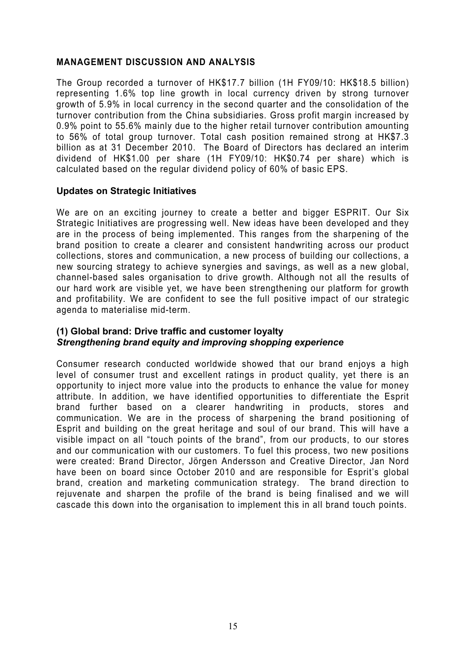### **MANAGEMENT DISCUSSION AND ANALYSIS**

The Group recorded a turnover of HK\$17.7 billion (1H FY09/10: HK\$18.5 billion) representing 1.6% top line growth in local currency driven by strong turnover growth of 5.9% in local currency in the second quarter and the consolidation of the turnover contribution from the China subsidiaries. Gross profit margin increased by 0.9% point to 55.6% mainly due to the higher retail turnover contribution amounting to 56% of total group turnover. Total cash position remained strong at HK\$7.3 billion as at 31 December 2010. The Board of Directors has declared an interim dividend of HK\$1.00 per share (1H FY09/10: HK\$0.74 per share) which is calculated based on the regular dividend policy of 60% of basic EPS.

### **Updates on Strategic Initiatives**

We are on an exciting journey to create a better and bigger ESPRIT. Our Six Strategic Initiatives are progressing well. New ideas have been developed and they are in the process of being implemented. This ranges from the sharpening of the brand position to create a clearer and consistent handwriting across our product collections, stores and communication, a new process of building our collections, a new sourcing strategy to achieve synergies and savings, as well as a new global, channel-based sales organisation to drive growth. Although not all the results of our hard work are visible yet, we have been strengthening our platform for growth and profitability. We are confident to see the full positive impact of our strategic agenda to materialise mid-term.

### **(1) Global brand: Drive traffic and customer loyalty**  *Strengthening brand equity and improving shopping experience*

Consumer research conducted worldwide showed that our brand enjoys a high level of consumer trust and excellent ratings in product quality, yet there is an opportunity to inject more value into the products to enhance the value for money attribute. In addition, we have identified opportunities to differentiate the Esprit brand further based on a clearer handwriting in products, stores and communication. We are in the process of sharpening the brand positioning of Esprit and building on the great heritage and soul of our brand. This will have a visible impact on all "touch points of the brand", from our products, to our stores and our communication with our customers. To fuel this process, two new positions were created: Brand Director, Jörgen Andersson and Creative Director, Jan Nord have been on board since October 2010 and are responsible for Esprit's global brand, creation and marketing communication strategy. The brand direction to rejuvenate and sharpen the profile of the brand is being finalised and we will cascade this down into the organisation to implement this in all brand touch points.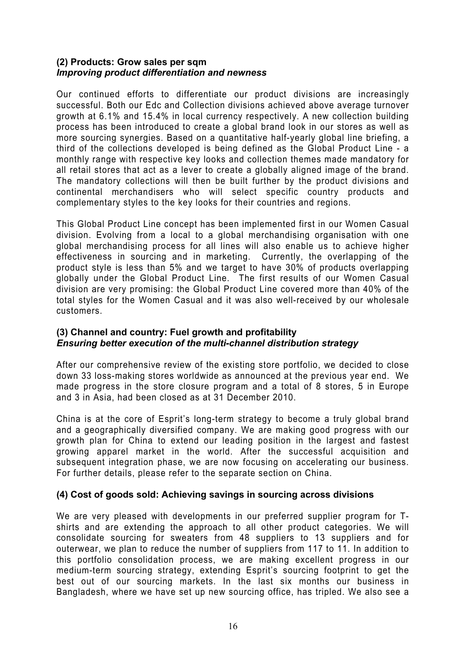### **(2) Products: Grow sales per sqm**  *Improving product differentiation and newness*

Our continued efforts to differentiate our product divisions are increasingly successful. Both our Edc and Collection divisions achieved above average turnover growth at 6.1% and 15.4% in local currency respectively. A new collection building process has been introduced to create a global brand look in our stores as well as more sourcing synergies. Based on a quantitative half-yearly global line briefing, a third of the collections developed is being defined as the Global Product Line - a monthly range with respective key looks and collection themes made mandatory for all retail stores that act as a lever to create a globally aligned image of the brand. The mandatory collections will then be built further by the product divisions and continental merchandisers who will select specific country products and complementary styles to the key looks for their countries and regions.

This Global Product Line concept has been implemented first in our Women Casual division. Evolving from a local to a global merchandising organisation with one global merchandising process for all lines will also enable us to achieve higher effectiveness in sourcing and in marketing. Currently, the overlapping of the product style is less than 5% and we target to have 30% of products overlapping globally under the Global Product Line. The first results of our Women Casual division are very promising: the Global Product Line covered more than 40% of the total styles for the Women Casual and it was also well-received by our wholesale customers.

### **(3) Channel and country: Fuel growth and profitability**  *Ensuring better execution of the multi-channel distribution strategy*

After our comprehensive review of the existing store portfolio, we decided to close down 33 loss-making stores worldwide as announced at the previous year end. We made progress in the store closure program and a total of 8 stores, 5 in Europe and 3 in Asia, had been closed as at 31 December 2010.

China is at the core of Esprit's long-term strategy to become a truly global brand and a geographically diversified company. We are making good progress with our growth plan for China to extend our leading position in the largest and fastest growing apparel market in the world. After the successful acquisition and subsequent integration phase, we are now focusing on accelerating our business. For further details, please refer to the separate section on China.

### **(4) Cost of goods sold: Achieving savings in sourcing across divisions**

We are very pleased with developments in our preferred supplier program for Tshirts and are extending the approach to all other product categories. We will consolidate sourcing for sweaters from 48 suppliers to 13 suppliers and for outerwear, we plan to reduce the number of suppliers from 117 to 11. In addition to this portfolio consolidation process, we are making excellent progress in our medium-term sourcing strategy, extending Esprit's sourcing footprint to get the best out of our sourcing markets. In the last six months our business in Bangladesh, where we have set up new sourcing office, has tripled. We also see a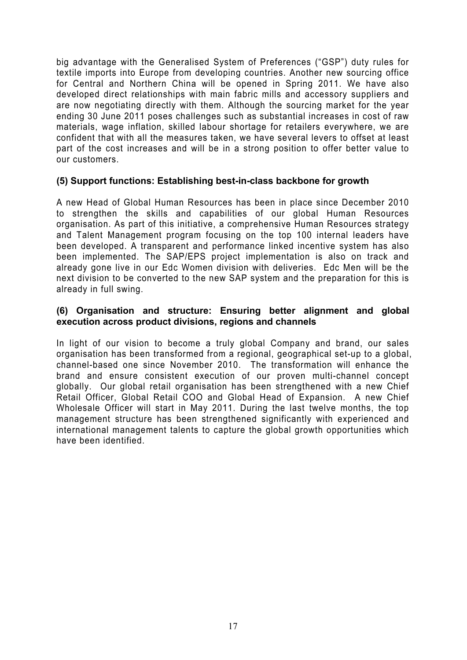big advantage with the Generalised System of Preferences ("GSP") duty rules for textile imports into Europe from developing countries. Another new sourcing office for Central and Northern China will be opened in Spring 2011. We have also developed direct relationships with main fabric mills and accessory suppliers and are now negotiating directly with them. Although the sourcing market for the year ending 30 June 2011 poses challenges such as substantial increases in cost of raw materials, wage inflation, skilled labour shortage for retailers everywhere, we are confident that with all the measures taken, we have several levers to offset at least part of the cost increases and will be in a strong position to offer better value to our customers.

### **(5) Support functions: Establishing best-in-class backbone for growth**

A new Head of Global Human Resources has been in place since December 2010 to strengthen the skills and capabilities of our global Human Resources organisation. As part of this initiative, a comprehensive Human Resources strategy and Talent Management program focusing on the top 100 internal leaders have been developed. A transparent and performance linked incentive system has also been implemented. The SAP/EPS project implementation is also on track and already gone live in our Edc Women division with deliveries. Edc Men will be the next division to be converted to the new SAP system and the preparation for this is already in full swing.

### **(6) Organisation and structure: Ensuring better alignment and global execution across product divisions, regions and channels**

In light of our vision to become a truly global Company and brand, our sales organisation has been transformed from a regional, geographical set-up to a global, channel-based one since November 2010. The transformation will enhance the brand and ensure consistent execution of our proven multi-channel concept globally. Our global retail organisation has been strengthened with a new Chief Retail Officer, Global Retail COO and Global Head of Expansion. A new Chief Wholesale Officer will start in May 2011. During the last twelve months, the top management structure has been strengthened significantly with experienced and international management talents to capture the global growth opportunities which have been identified.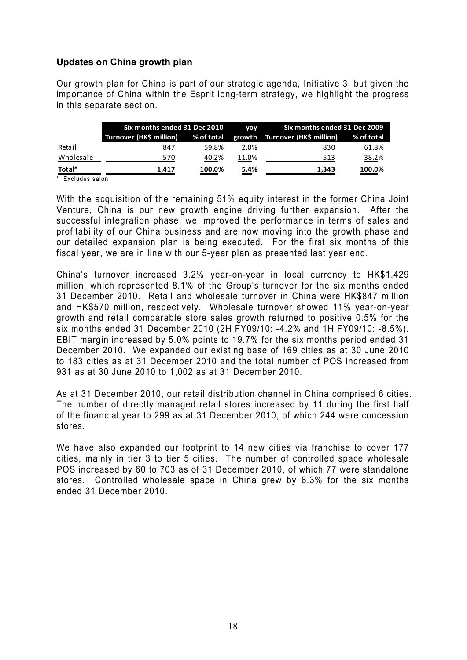### **Updates on China growth plan**

Our growth plan for China is part of our strategic agenda, Initiative 3, but given the importance of China within the Esprit long-term strategy, we highlight the progress in this separate section.

|           | Six months ended 31 Dec 2010       |                                                                                                                                                                                                                                                | <b>VOV</b> | Six months ended 31 Dec 2009   |                                                      |  |
|-----------|------------------------------------|------------------------------------------------------------------------------------------------------------------------------------------------------------------------------------------------------------------------------------------------|------------|--------------------------------|------------------------------------------------------|--|
|           | Turnover (HK\$ million) % of total |                                                                                                                                                                                                                                                |            | growth Turnover (HK\$ million) | % of total                                           |  |
| Retail    | 847                                | 59.8%                                                                                                                                                                                                                                          | 2.0%       | 830                            | 61.8%                                                |  |
| Wholesale | 570                                | 40.2%                                                                                                                                                                                                                                          | 11.0%      | 513                            | 38.2%                                                |  |
| Total*    | 1.417                              | 100.0%<br><u> a shekara ta 1999, a shekara ta 1999, a shekara ta 1999, a shekara ta 1999, a shekara ta 1999, a shekara ta 1999, a shekara ta 1999, a shekara ta 1999, a shekara ta 1999, a shekara ta 1999, a shekara ta 1999, a shekara t</u> | 5.4%       | 1,343                          | 100.0%<br>$\qquad \qquad \overbrace{\qquad \qquad }$ |  |

\* Excludes salon

With the acquisition of the remaining 51% equity interest in the former China Joint Venture, China is our new growth engine driving further expansion. After the successful integration phase, we improved the performance in terms of sales and profitability of our China business and are now moving into the growth phase and our detailed expansion plan is being executed. For the first six months of this fiscal year, we are in line with our 5-year plan as presented last year end.

China's turnover increased 3.2% year-on-year in local currency to HK\$1,429 million, which represented 8.1% of the Group's turnover for the six months ended 31 December 2010. Retail and wholesale turnover in China were HK\$847 million and HK\$570 million, respectively. Wholesale turnover showed 11% year-on-year growth and retail comparable store sales growth returned to positive 0.5% for the six months ended 31 December 2010 (2H FY09/10: -4.2% and 1H FY09/10: -8.5%). EBIT margin increased by 5.0% points to 19.7% for the six months period ended 31 December 2010. We expanded our existing base of 169 cities as at 30 June 2010 to 183 cities as at 31 December 2010 and the total number of POS increased from 931 as at 30 June 2010 to 1,002 as at 31 December 2010.

As at 31 December 2010, our retail distribution channel in China comprised 6 cities. The number of directly managed retail stores increased by 11 during the first half of the financial year to 299 as at 31 December 2010, of which 244 were concession stores.

We have also expanded our footprint to 14 new cities via franchise to cover 177 cities, mainly in tier 3 to tier 5 cities. The number of controlled space wholesale POS increased by 60 to 703 as of 31 December 2010, of which 77 were standalone stores. Controlled wholesale space in China grew by 6.3% for the six months ended 31 December 2010.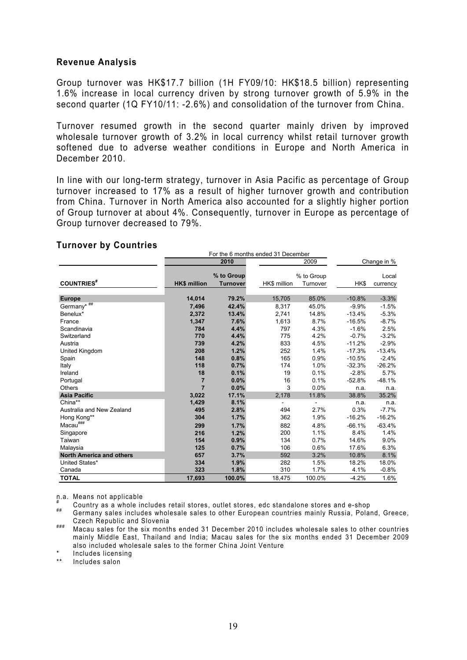### **Revenue Analysis**

Group turnover was HK\$17.7 billion (1H FY09/10: HK\$18.5 billion) representing 1.6% increase in local currency driven by strong turnover growth of 5.9% in the second quarter (1Q FY10/11: -2.6%) and consolidation of the turnover from China.

Turnover resumed growth in the second quarter mainly driven by improved wholesale turnover growth of 3.2% in local currency whilst retail turnover growth softened due to adverse weather conditions in Europe and North America in December 2010.

In line with our long-term strategy, turnover in Asia Pacific as percentage of Group turnover increased to 17% as a result of higher turnover growth and contribution from China. Turnover in North America also accounted for a slightly higher portion of Group turnover at about 4%. Consequently, turnover in Europe as percentage of Group turnover decreased to 79%.

#### **Turnover by Countries**

|                                 | For the 6 months ended 31 December |                 |              |            |          |             |
|---------------------------------|------------------------------------|-----------------|--------------|------------|----------|-------------|
|                                 | 2010                               |                 |              | 2009       |          | Change in % |
|                                 |                                    |                 |              |            |          |             |
|                                 |                                    | % to Group      |              | % to Group |          | Local       |
| <b>COUNTRIES</b> #              | <b>HK\$ million</b>                | <b>Turnover</b> | HK\$ million | Turnover   | HK\$     | currency    |
| <b>Europe</b>                   | 14,014                             | 79.2%           | 15,705       | 85.0%      | $-10.8%$ | $-3.3%$     |
| Germany* ##                     | 7.496                              | 42.4%           | 8,317        | 45.0%      | $-9.9%$  | $-1.5%$     |
| Benelux*                        | 2,372                              | 13.4%           | 2,741        | 14.8%      | $-13.4%$ | $-5.3%$     |
| France                          | 1,347                              | 7.6%            | 1,613        | 8.7%       | $-16.5%$ | $-8.7%$     |
| Scandinavia                     | 784                                | 4.4%            | 797          | 4.3%       | $-1.6%$  | 2.5%        |
| Switzerland                     | 770                                | 4.4%            | 775          | 4.2%       | $-0.7%$  | $-3.2%$     |
| Austria                         | 739                                | 4.2%            | 833          | 4.5%       | $-11.2%$ | $-2.9%$     |
| United Kingdom                  | 208                                | 1.2%            | 252          | 1.4%       | $-17.3%$ | $-13.4%$    |
| Spain                           | 148                                | 0.8%            | 165          | 0.9%       | $-10.5%$ | $-2.4%$     |
| Italy                           | 118                                | 0.7%            | 174          | 1.0%       | $-32.3%$ | $-26.2%$    |
| Ireland                         | 18                                 | 0.1%            | 19           | 0.1%       | $-2.8%$  | 5.7%        |
| Portugal                        | $\overline{7}$                     | 0.0%            | 16           | 0.1%       | $-52.8%$ | $-48.1%$    |
| <b>Others</b>                   | $\overline{7}$                     | 0.0%            | 3            | 0.0%       | n.a.     | n.a.        |
| <b>Asia Pacific</b>             | 3,022                              | 17.1%           | 2,178        | 11.8%      | 38.8%    | 35.2%       |
| China**                         | 1,429                              | 8.1%            |              |            | n.a.     | n.a.        |
| Australia and New Zealand       | 495                                | 2.8%            | 494          | 2.7%       | 0.3%     | $-7.7%$     |
| Hong Kong**                     | 304                                | 1.7%            | 362          | 1.9%       | $-16.2%$ | $-16.2%$    |
| $Macau^{\# \# \#}$              | 299                                | 1.7%            | 882          | 4.8%       | $-66.1%$ | $-63.4%$    |
| Singapore                       | 216                                | 1.2%            | 200          | 1.1%       | 8.4%     | 1.4%        |
| Taiwan                          | 154                                | 0.9%            | 134          | 0.7%       | 14.6%    | 9.0%        |
| Malaysia                        | 125                                | 0.7%            | 106          | 0.6%       | 17.6%    | 6.3%        |
| <b>North America and others</b> | 657                                | 3.7%            | 592          | 3.2%       | 10.8%    | 8.1%        |
| United States*                  | 334                                | 1.9%            | 282          | 1.5%       | 18.2%    | 18.0%       |
| Canada                          | 323                                | 1.8%            | 310          | 1.7%       | 4.1%     | $-0.8%$     |
| <b>TOTAL</b>                    | 17,693                             | 100.0%          | 18,475       | 100.0%     | $-4.2%$  | 1.6%        |

n.a. Means not applicable

# Country as a whole includes retail stores, outlet stores, edc standalone stores and e-shop

Germany sales includes wholesale sales to other European countries mainly Russia, Poland, Greece,

Czech Republic and Slovenia ### Macau sales for the six months ended 31 December 2010 includes wholesale sales to other countries mainly Middle East, Thailand and India; Macau sales for the six months ended 31 December 2009 also included wholesale sales to the former China Joint Venture

Includes licensing

\*\* Includes salon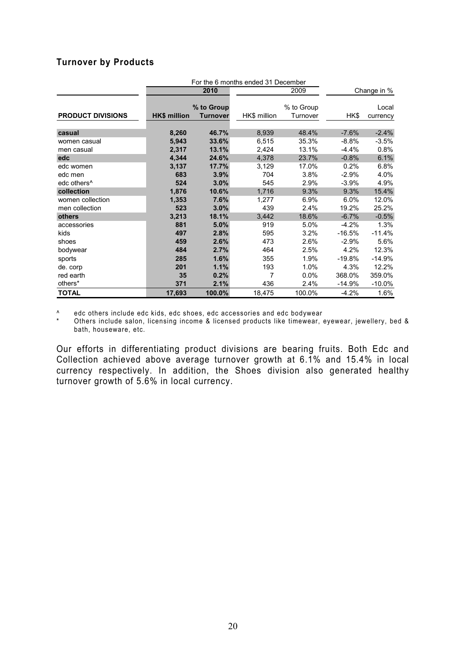### **Turnover by Products**

|                          | For the 6 months ended 31 December |            |              |            |             |           |  |
|--------------------------|------------------------------------|------------|--------------|------------|-------------|-----------|--|
|                          |                                    | 2010       |              | 2009       | Change in % |           |  |
|                          |                                    |            |              |            |             |           |  |
|                          |                                    | % to Group |              | % to Group |             | Local     |  |
| <b>PRODUCT DIVISIONS</b> | <b>HK\$ million</b>                | Turnover   | HK\$ million | Turnover   | HK\$        | currency  |  |
|                          |                                    |            |              |            |             |           |  |
| casual                   | 8,260                              | 46.7%      | 8,939        | 48.4%      | $-7.6%$     | $-2.4%$   |  |
| women casual             | 5,943                              | 33.6%      | 6,515        | 35.3%      | $-8.8%$     | $-3.5%$   |  |
| men casual               | 2,317                              | 13.1%      | 2,424        | 13.1%      | $-4.4%$     | 0.8%      |  |
| edc                      | 4,344                              | 24.6%      | 4,378        | 23.7%      | $-0.8%$     | 6.1%      |  |
| edc women                | 3,137                              | 17.7%      | 3,129        | 17.0%      | 0.2%        | 6.8%      |  |
| edc men                  | 683                                | 3.9%       | 704          | 3.8%       | $-2.9%$     | 4.0%      |  |
| edc others <sup>^</sup>  | 524                                | 3.0%       | 545          | 2.9%       | $-3.9%$     | 4.9%      |  |
| collection               | 1,876                              | 10.6%      | 1,716        | 9.3%       | 9.3%        | 15.4%     |  |
| women collection         | 1,353                              | 7.6%       | 1,277        | 6.9%       | 6.0%        | 12.0%     |  |
| men collection           | 523                                | 3.0%       | 439          | 2.4%       | 19.2%       | 25.2%     |  |
| others                   | 3,213                              | 18.1%      | 3,442        | 18.6%      | $-6.7%$     | $-0.5%$   |  |
| accessories              | 881                                | 5.0%       | 919          | 5.0%       | $-4.2%$     | 1.3%      |  |
| kids                     | 497                                | 2.8%       | 595          | 3.2%       | $-16.5%$    | $-11.4%$  |  |
| shoes                    | 459                                | 2.6%       | 473          | 2.6%       | $-2.9%$     | 5.6%      |  |
| bodywear                 | 484                                | 2.7%       | 464          | 2.5%       | 4.2%        | 12.3%     |  |
| sports                   | 285                                | 1.6%       | 355          | 1.9%       | $-19.8%$    | -14.9%    |  |
| de. corp                 | 201                                | 1.1%       | 193          | 1.0%       | 4.3%        | 12.2%     |  |
| red earth                | 35                                 | 0.2%       | 7            | $0.0\%$    | 368.0%      | 359.0%    |  |
| others*                  | 371                                | 2.1%       | 436          | 2.4%       | $-14.9%$    | $-10.0\%$ |  |
| <b>TOTAL</b>             | 17,693                             | 100.0%     | 18,475       | 100.0%     | $-4.2%$     | 1.6%      |  |

^ edc others include edc kids, edc shoes, edc accessories and edc bodywear

Others include salon, licensing income & licensed products like timewear, eyewear, jewellery, bed & bath, houseware, etc.

Our efforts in differentiating product divisions are bearing fruits. Both Edc and Collection achieved above average turnover growth at 6.1% and 15.4% in local currency respectively. In addition, the Shoes division also generated healthy turnover growth of 5.6% in local currency.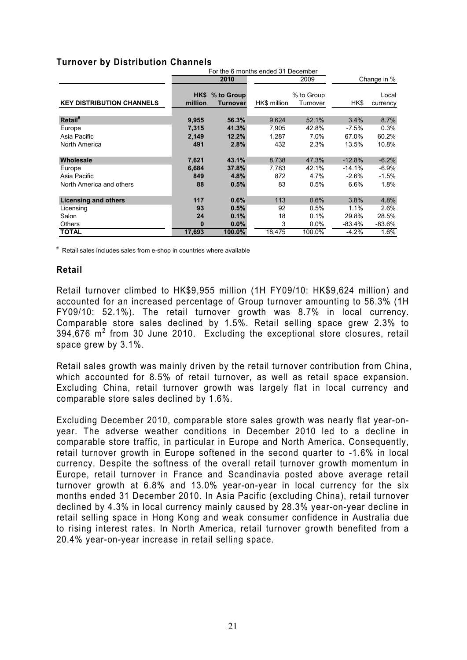### **Turnover by Distribution Channels**

|                                  | For the 6 months ended 31 December |                             |              |                        |             |                   |
|----------------------------------|------------------------------------|-----------------------------|--------------|------------------------|-------------|-------------------|
|                                  |                                    | 2010                        |              | 2009                   | Change in % |                   |
| <b>KEY DISTRIBUTION CHANNELS</b> | million                            | HK\$ % to Group<br>Turnover | HK\$ million | % to Group<br>Turnover | HK\$        | Local<br>currency |
| Retail <sup>#</sup>              | 9,955                              | 56.3%                       | 9,624        | 52.1%                  | 3.4%        | 8.7%              |
| Europe                           | 7,315                              | 41.3%                       | 7.905        | 42.8%                  | $-7.5%$     | $0.3\%$           |
| Asia Pacific                     | 2,149                              | 12.2%                       | 1,287        | 7.0%                   | 67.0%       | 60.2%             |
| North America                    | 491                                | 2.8%                        | 432          | 2.3%                   | 13.5%       | 10.8%             |
| Wholesale                        | 7,621                              | 43.1%                       | 8,738        | 47.3%                  | $-12.8%$    | $-6.2%$           |
| Europe                           | 6,684                              | 37.8%                       | 7,783        | 42.1%                  | $-14.1%$    | $-6.9%$           |
| Asia Pacific                     | 849                                | 4.8%                        | 872          | 4.7%                   | $-2.6%$     | $-1.5%$           |
| North America and others         | 88                                 | 0.5%                        | 83           | 0.5%                   | 6.6%        | $1.8\%$           |
| <b>Licensing and others</b>      | 117                                | 0.6%                        | 113          | 0.6%                   | 3.8%        | 4.8%              |
| Licensing                        | 93                                 | 0.5%                        | 92           | 0.5%                   | 1.1%        | 2.6%              |
| Salon                            | 24                                 | 0.1%                        | 18           | 0.1%                   | 29.8%       | 28.5%             |
| Others                           | 0                                  | 0.0%                        | 3            | 0.0%                   | -83.4%      | $-83.6%$          |
| <b>TOTAL</b>                     | 17,693                             | 100.0%                      | 18,475       | 100.0%                 | $-4.2%$     | 1.6%              |

# Retail sales includes sales from e-shop in countries where available

### **Retail**

Retail turnover climbed to HK\$9,955 million (1H FY09/10: HK\$9,624 million) and accounted for an increased percentage of Group turnover amounting to 56.3% (1H FY09/10: 52.1%). The retail turnover growth was 8.7% in local currency. Comparable store sales declined by 1.5%. Retail selling space grew 2.3% to  $394,676$  m<sup>2</sup> from 30 June 2010. Excluding the exceptional store closures, retail space grew by 3.1%.

Retail sales growth was mainly driven by the retail turnover contribution from China, which accounted for 8.5% of retail turnover, as well as retail space expansion. Excluding China, retail turnover growth was largely flat in local currency and comparable store sales declined by 1.6%.

Excluding December 2010, comparable store sales growth was nearly flat year-onyear. The adverse weather conditions in December 2010 led to a decline in comparable store traffic, in particular in Europe and North America. Consequently, retail turnover growth in Europe softened in the second quarter to -1.6% in local currency. Despite the softness of the overall retail turnover growth momentum in Europe, retail turnover in France and Scandinavia posted above average retail turnover growth at 6.8% and 13.0% year-on-year in local currency for the six months ended 31 December 2010. In Asia Pacific (excluding China), retail turnover declined by 4.3% in local currency mainly caused by 28.3% year-on-year decline in retail selling space in Hong Kong and weak consumer confidence in Australia due to rising interest rates. In North America, retail turnover growth benefited from a 20.4% year-on-year increase in retail selling space.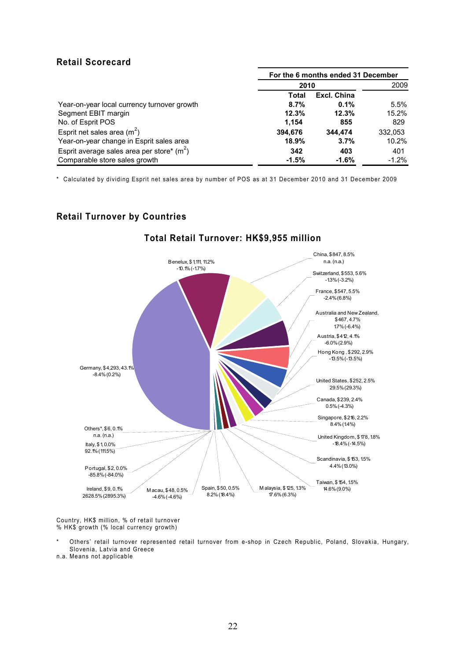### **Retail Scorecard**

|                                             | For the 6 months ended 31 December |             |         |  |
|---------------------------------------------|------------------------------------|-------------|---------|--|
|                                             | 2010                               |             | 2009    |  |
|                                             | Total                              | Excl. China |         |  |
| Year-on-year local currency turnover growth | 8.7%                               | 0.1%        | 5.5%    |  |
| Segment EBIT margin                         | 12.3%                              | 12.3%       | 15.2%   |  |
| No. of Esprit POS                           | 1,154                              | 855         | 829     |  |
| Esprit net sales area $(m^2)$               | 394.676                            | 344.474     | 332,053 |  |
| Year-on-year change in Esprit sales area    | 18.9%                              | 3.7%        | 10.2%   |  |
| Esprit average sales area per store* $(m2)$ | 342                                | 403         | 401     |  |
| Comparable store sales growth               | $-1.5%$                            | $-1.6%$     | $-1.2%$ |  |

\* Calculated by dividing Esprit net sales area by number of POS as at 31 December 2010 and 31 December 2009

### **Retail Turnover by Countries**



### **Total Retail Turnover: HK\$9,955 million**

Country, HK\$ million, % of retail turnover % HK\$ growth (% local currency growth)

Others' retail turnover represented retail turnover from e-shop in Czech Republic, Poland, Slovakia, Hungary, Slovenia, Latvia and Greece

n.a. Means not applicable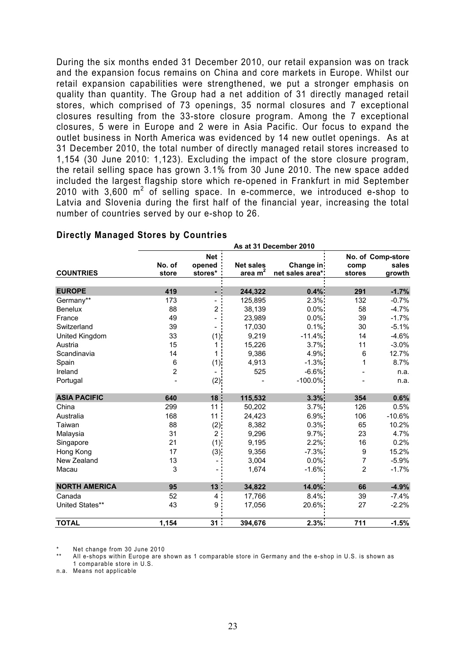During the six months ended 31 December 2010, our retail expansion was on track and the expansion focus remains on China and core markets in Europe. Whilst our retail expansion capabilities were strengthened, we put a stronger emphasis on quality than quantity. The Group had a net addition of 31 directly managed retail stores, which comprised of 73 openings, 35 normal closures and 7 exceptional closures resulting from the 33-store closure program. Among the 7 exceptional closures, 5 were in Europe and 2 were in Asia Pacific. Our focus to expand the outlet business in North America was evidenced by 14 new outlet openings. As at 31 December 2010, the total number of directly managed retail stores increased to 1,154 (30 June 2010: 1,123). Excluding the impact of the store closure program, the retail selling space has grown 3.1% from 30 June 2010. The new space added included the largest flagship store which re-opened in Frankfurt in mid September 2010 with  $3,600 \text{ m}^2$  of selling space. In e-commerce, we introduced e-shop to Latvia and Slovenia during the first half of the financial year, increasing the total number of countries served by our e-shop to 26.

 **As at 31 December 2010** 

| <b>COUNTRIES</b>     | No. of<br>store | <b>Net</b><br>opened<br>stores* | <b>Net sales</b><br>area $m2$ | Change in<br>net sales area* | comp<br>stores | No. of Comp-store<br>sales<br>growth |
|----------------------|-----------------|---------------------------------|-------------------------------|------------------------------|----------------|--------------------------------------|
|                      |                 |                                 |                               |                              |                |                                      |
| <b>EUROPE</b>        | 419             |                                 | 244,322                       | 0.4%                         | 291            | $-1.7%$                              |
| Germany**            | 173             |                                 | 125,895                       | 2.3%                         | 132            | $-0.7%$                              |
| <b>Benelux</b>       | 88              | 2                               | 38,139                        | $0.0\%$                      | 58             | $-4.7%$                              |
| France               | 49              |                                 | 23,989                        | $0.0\%$                      | 39             | $-1.7%$                              |
| Switzerland          | 39              |                                 | 17,030                        | 0.1%                         | 30             | $-5.1%$                              |
| United Kingdom       | 33              | (1)                             | 9,219                         | $-11.4%$                     | 14             | $-4.6%$                              |
| Austria              | 15              | 1                               | 15,226                        | 3.7%                         | 11             | $-3.0%$                              |
| Scandinavia          | 14              | 1                               | 9,386                         | 4.9%                         | 6              | 12.7%                                |
| Spain                | 6               | (1)                             | 4,913                         | $-1.3%$                      | 1              | 8.7%                                 |
| Ireland              | $\overline{2}$  |                                 | 525                           | $-6.6%$                      |                | n.a.                                 |
| Portugal             |                 | (2)                             |                               | $-100.0\%$                   |                | n.a.                                 |
|                      |                 |                                 |                               |                              |                |                                      |
| <b>ASIA PACIFIC</b>  | 640             | 18                              | 115,532                       | 3.3%                         | 354            | 0.6%                                 |
| China                | 299             | 11                              | 50,202                        | 3.7%                         | 126            | 0.5%                                 |
| Australia            | 168             | 11                              | 24,423                        | 6.9%                         | 106            | $-10.6%$                             |
| Taiwan               | 88              | $(2)$ :                         | 8,382                         | 0.3%                         | 65             | 10.2%                                |
| Malaysia             | 31              | $\overline{2}$                  | 9,296                         | 9.7%                         | 23             | 4.7%                                 |
| Singapore            | 21              | (1)                             | 9,195                         | 2.2%                         | 16             | 0.2%                                 |
| Hong Kong            | 17              | (3)                             | 9,356                         | $-7.3\%$                     | 9              | 15.2%                                |
| New Zealand          | 13              |                                 | 3,004                         | $0.0\%$                      | 7              | $-5.9%$                              |
| Macau                | 3               |                                 | 1,674                         | $-1.6%$                      | $\overline{2}$ | $-1.7%$                              |
| <b>NORTH AMERICA</b> | 95              | 13                              | 34,822                        | 14.0%                        | 66             | $-4.9%$                              |
| Canada               | 52              | 4                               | 17,766                        | 8.4%                         | 39             | $-7.4%$                              |
| United States**      | 43              | 9                               | 17,056                        | 20.6%                        | 27             | $-2.2%$                              |
| <b>TOTAL</b>         | 1,154           | 31                              | 394,676                       | 2.3%                         | 711            | $-1.5%$                              |

### **Directly Managed Stores by Countries**

Net change from 30 June 2010

All e-shops within Europe are shown as 1 comparable store in Germany and the e-shop in U.S. is shown as 1 comparable store in U.S.

n.a. Means not applicable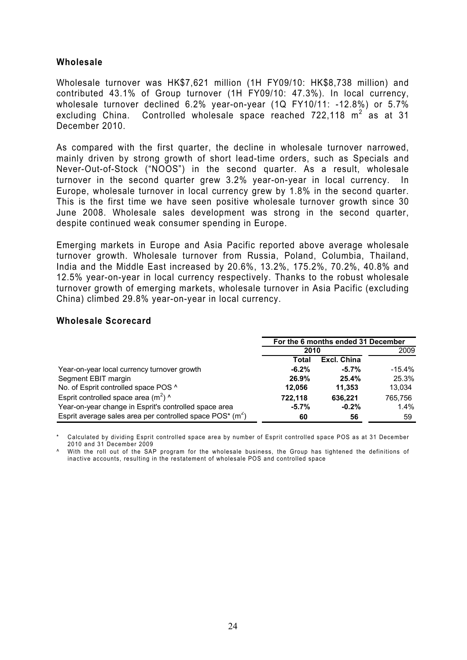### **Wholesale**

Wholesale turnover was HK\$7,621 million (1H FY09/10: HK\$8,738 million) and contributed 43.1% of Group turnover (1H FY09/10: 47.3%). In local currency, wholesale turnover declined 6.2% year-on-year (1Q FY10/11: -12.8%) or 5.7% excluding China. Controlled wholesale space reached 722,118  $m^2$  as at 31 December 2010.

As compared with the first quarter, the decline in wholesale turnover narrowed, mainly driven by strong growth of short lead-time orders, such as Specials and Never-Out-of-Stock ("NOOS") in the second quarter. As a result, wholesale turnover in the second quarter grew 3.2% year-on-year in local currency. In Europe, wholesale turnover in local currency grew by 1.8% in the second quarter. This is the first time we have seen positive wholesale turnover growth since 30 June 2008. Wholesale sales development was strong in the second quarter, despite continued weak consumer spending in Europe.

Emerging markets in Europe and Asia Pacific reported above average wholesale turnover growth. Wholesale turnover from Russia, Poland, Columbia, Thailand, India and the Middle East increased by 20.6%, 13.2%, 175.2%, 70.2%, 40.8% and 12.5% year-on-year in local currency respectively. Thanks to the robust wholesale turnover growth of emerging markets, wholesale turnover in Asia Pacific (excluding China) climbed 29.8% year-on-year in local currency.

#### **Wholesale Scorecard**

|                                                                 | For the 6 months ended 31 December |             |          |  |
|-----------------------------------------------------------------|------------------------------------|-------------|----------|--|
|                                                                 | 2010                               |             | 2009     |  |
|                                                                 | Total                              | Excl. China |          |  |
| Year-on-year local currency turnover growth                     | $-6.2%$                            | $-5.7\%$    | $-15.4%$ |  |
| Segment EBIT margin                                             | 26.9%                              | 25.4%       | 25.3%    |  |
| No. of Esprit controlled space POS ^                            | 12.056                             | 11,353      | 13.034   |  |
| Esprit controlled space area $(m^2)$ ^                          | 722.118                            | 636.221     | 765.756  |  |
| Year-on-year change in Esprit's controlled space area           | $-5.7%$                            | $-0.2%$     | $1.4\%$  |  |
| Esprit average sales area per controlled space $POS^{*}(m^{2})$ | 60                                 | 56          | 59       |  |

Calculated by dividing Esprit controlled space area by number of Esprit controlled space POS as at 31 December 2010 and 31 December 2009

^ With the roll out of the SAP program for the wholesale business, the Group has tightened the definitions of inactive accounts, resulting in the restatement of wholesale POS and controlled space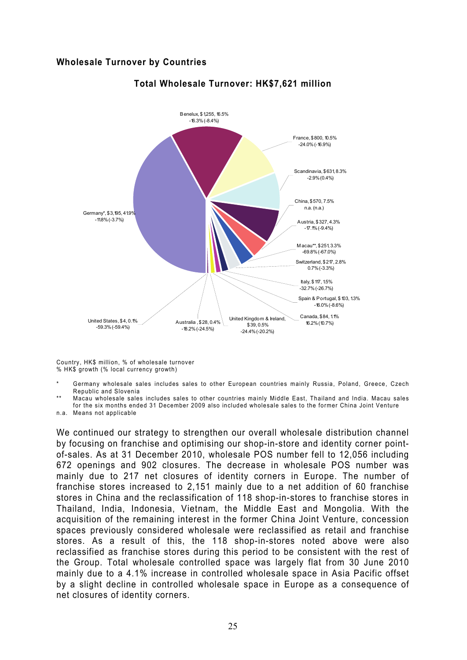### **Wholesale Turnover by Countries**



### **Total Wholesale Turnover: HK\$7,621 million**

Country, HK\$ million, % of wholesale turnover % HK\$ growth (% local currency growth)

- Germany wholesale sales includes sales to other European countries mainly Russia, Poland, Greece, Czech Republic and Slovenia
- \*\* Macau wholesale sales includes sales to other countries mainly Middle East, Thailand and India. Macau sales for the six months ended 31 December 2009 also included wholesale sales to the former China Joint Venture
- n.a. Means not applicable

We continued our strategy to strengthen our overall wholesale distribution channel by focusing on franchise and optimising our shop-in-store and identity corner pointof-sales. As at 31 December 2010, wholesale POS number fell to 12,056 including 672 openings and 902 closures. The decrease in wholesale POS number was mainly due to 217 net closures of identity corners in Europe. The number of franchise stores increased to 2,151 mainly due to a net addition of 60 franchise stores in China and the reclassification of 118 shop-in-stores to franchise stores in Thailand, India, Indonesia, Vietnam, the Middle East and Mongolia. With the acquisition of the remaining interest in the former China Joint Venture, concession spaces previously considered wholesale were reclassified as retail and franchise stores. As a result of this, the 118 shop-in-stores noted above were also reclassified as franchise stores during this period to be consistent with the rest of the Group. Total wholesale controlled space was largely flat from 30 June 2010 mainly due to a 4.1% increase in controlled wholesale space in Asia Pacific offset by a slight decline in controlled wholesale space in Europe as a consequence of net closures of identity corners.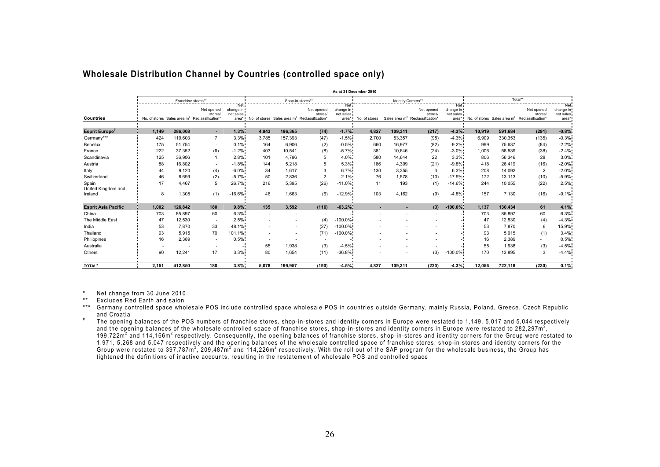|                             |                          |         |                                                                                  |                                             |                          |         |                                                                                    |                                 | As at 31 December 2010 |         |                                                                      |                                           |        |         |                                                                          |                                        |
|-----------------------------|--------------------------|---------|----------------------------------------------------------------------------------|---------------------------------------------|--------------------------|---------|------------------------------------------------------------------------------------|---------------------------------|------------------------|---------|----------------------------------------------------------------------|-------------------------------------------|--------|---------|--------------------------------------------------------------------------|----------------------------------------|
|                             | Franchise stores**       |         |                                                                                  | Shop-in-stores**                            |                          |         |                                                                                    | Identity Corners**              |                        |         | Total**                                                              |                                           |        |         |                                                                          |                                        |
| <b>Countries</b>            |                          |         | Net opened<br>stores<br>No. of stores Sales area m <sup>2</sup> Reclassification | Net:<br>change in !<br>net sales<br>area* ' |                          |         | Net opened<br>stores/<br>No. of stores Sales area m <sup>2</sup> Reclassification* | Net i<br>change in<br>net sales | area* No. of stores    |         | Net opened<br>stores/<br>Sales area m <sup>2</sup> Reclassification* | Net.<br>change in<br>net sales<br>area* " |        |         | Net opened<br>stores/<br>No. of stores Sales area $m2$ Reclassification' | Net<br>change in<br>net sales<br>area* |
|                             |                          |         |                                                                                  |                                             |                          |         |                                                                                    |                                 |                        |         |                                                                      |                                           |        |         |                                                                          |                                        |
| <b>Esprit Europe</b>        | 1.149                    | 286.008 | $\sim$                                                                           | 1.3%                                        | 4,943                    | 196.365 | (74)                                                                               | $-1.7%$                         | 4.827                  | 109.311 | (217)                                                                | $-4.3\%$                                  | 10.919 | 591.684 | (291)                                                                    | $-0.8%$                                |
| Germany***                  | 424                      | 119,603 | $\overline{7}$                                                                   | 3.3%                                        | 3.785                    | 157,393 | (47)                                                                               | $-1.5%$                         | 2.700                  | 53,357  | (95)                                                                 | $-4.3%$                                   | 6.909  | 330,353 | (135)                                                                    | $-0.3%$                                |
| Benelux                     | 175                      | 51,754  | $\overline{\phantom{a}}$                                                         | 0.1%                                        | 164                      | 6,906   | (2)                                                                                | $-0.5%$                         | 660                    | 16,977  | (82)                                                                 | $-9.2%$                                   | 999    | 75,637  | (84)                                                                     | $-2.2%$                                |
| France                      | 222                      | 37,352  | (6)                                                                              | $-1.2%$                                     | 403                      | 10,541  | (8)                                                                                | $-5.7%$                         | 381                    | 10,646  | (24)                                                                 | $-3.0\%$                                  | 1,006  | 58,539  | (38)                                                                     | $-2.4%$                                |
| Scandinavia                 | 125                      | 36,906  | $\mathbf{1}$                                                                     | 2.8%                                        | 101                      | 4.796   | 5                                                                                  | $4.0\%$                         | 580                    | 14,644  | 22                                                                   | 3.3%                                      | 806    | 56,346  | 28                                                                       | 3.0%                                   |
| Austria                     | 88                       | 16,802  | $\overline{\phantom{a}}$                                                         | $-1.8%$                                     | 144                      | 5,218   | 5                                                                                  | 5.3%                            | 186                    | 4,399   | (21)                                                                 | $-9.8%$                                   | 418    | 26,419  | (16)                                                                     | $-2.0%$                                |
| Italy                       | 44                       | 9.120   | (4)                                                                              | $-6.0\%$                                    | 34                       | 1.617   | 3                                                                                  | 6.7%                            | 130                    | 3,355   | 3                                                                    | 6.3%                                      | 208    | 14,092  | $\overline{2}$                                                           | $-2.0%$                                |
| Switzerland                 | 46                       | 8.699   | (2)                                                                              | $-5.7%$                                     | 50                       | 2.836   | $\overline{2}$                                                                     | 2.1%                            | 76                     | 1,578   | (10)                                                                 | $-17.9%$                                  | 172    | 13.113  | (10)                                                                     | $-5.9\%$                               |
| Spain<br>United Kingdom and | 17                       | 4.467   | 5                                                                                | 26.7%                                       | 216                      | 5,395   | (26)                                                                               | $-11.0%$                        | 11                     | 193     | (1)                                                                  | $-14.6%$                                  | 244    | 10,055  | (22)                                                                     | 2.5%                                   |
| Ireland                     | 8                        | 1,305   | (1)                                                                              | $-16.6%$                                    | 46                       | 1.663   | (6)                                                                                | $-12.9%$                        | 103                    | 4,162   | (9)                                                                  | $-4.8%$                                   | 157    | 7,130   | (16)                                                                     | $-9.1%$                                |
| <b>Esprit Asia Pacific</b>  | 1,002                    | 126,842 | 180                                                                              | 9.8%                                        | 135                      | 3.592   | (116)                                                                              | $-63.2%$                        | ×.                     | ٠       | (3)                                                                  | $-100.0\%$                                | 1,137  | 130.434 | 61                                                                       | 4.1%                                   |
| China                       | 703                      | 85,897  | 60                                                                               | 6.3%                                        | $\sim$                   |         |                                                                                    |                                 |                        |         |                                                                      |                                           | 703    | 85,897  | 60                                                                       | 6.3%                                   |
| The Middle East             | 47                       | 12,530  | $\overline{\phantom{a}}$                                                         | 2.5%                                        |                          |         | (4)                                                                                | $-100.0\%$                      |                        |         |                                                                      |                                           | 47     | 12,530  | (4)                                                                      | $-4.3%$                                |
| India                       | 53                       | 7.870   | 33                                                                               | 48.1%                                       |                          |         | (27)                                                                               | $-100.0\%$                      |                        |         |                                                                      |                                           | 53     | 7,870   | 6                                                                        | 15.9%                                  |
| Thailand                    | 93                       | 5,915   | 70                                                                               | 101.1%                                      |                          |         | (71)                                                                               | $-100.0\%$                      |                        |         |                                                                      |                                           | 93     | 5,915   | (1)                                                                      | 3.4%                                   |
| Philippines                 | 16                       | 2.389   | $\overline{\phantom{a}}$                                                         | 0.5%                                        | $\overline{\phantom{a}}$ |         |                                                                                    | $-1$                            |                        |         |                                                                      |                                           | 16     | 2.389   |                                                                          | 0.5%                                   |
| Australia                   | $\overline{\phantom{a}}$ |         | $\overline{\phantom{a}}$                                                         | $\sim$ 1                                    | 55                       | 1,938   | (3)                                                                                | $-4.5%$                         |                        |         |                                                                      |                                           | 55     | 1,938   | (3)                                                                      | $-4.5%$                                |
| Others                      | 90                       | 12,241  | 17                                                                               | 3.3%                                        | 80                       | 1,654   | (11)                                                                               | $-36.8%$                        |                        |         | (3)                                                                  | $-100.0\%$                                | 170    | 13,895  | 3                                                                        | $-4.4%$                                |
| TOTAL <sup>#</sup>          | 2,151                    | 412,850 | 180                                                                              | 3.8%                                        | 5.078                    | 199.957 | (190)                                                                              | 4.5%                            | 4.827                  | 109,311 | (220)                                                                | $-4.3%$                                   | 12.056 | 722,118 | (230)                                                                    | 0.1%                                   |

#### **Wholesale Distribution Channel by Countries (controlled space only)**

\* Net change from 30 June 2010

\*\* Excludes Red Earth and salon

\*\*\* Germany controlled space wholesale POS include controlled space wholesale POS in countries outside Germany, mainly Russia, Poland, Greece, Czech Republic and Croatia

# The opening balances of the POS numbers of franchise stores, shop-in-stores and identity corners in Europe were restated to 1,149, 5,017 and 5,044 respectively and the opening balances of the wholesale controlled space of franchise stores, shop-in-stores and identity corners in Europe were restated to 282,297m<sup>2</sup>, 199,722 $m^2$  and 114,166 $m^2$  respectively. Consequently, the opening balances of franchise stores, shop-in-stores and identity corners for the Group were restated to 1,971, 5,268 and 5,047 respectively and the opening balances of the wholesale controlled space of franchise stores, shop-in-stores and identity corners for the Group were restated to 397,787m<sup>2</sup>, 209,487m<sup>2</sup> and 114,226m<sup>2</sup> respectively. With the roll out of the SAP program for the wholesale business, the Group has tightened the definitions of inactive accounts, resulting in the restatement of wholesale POS and controlled space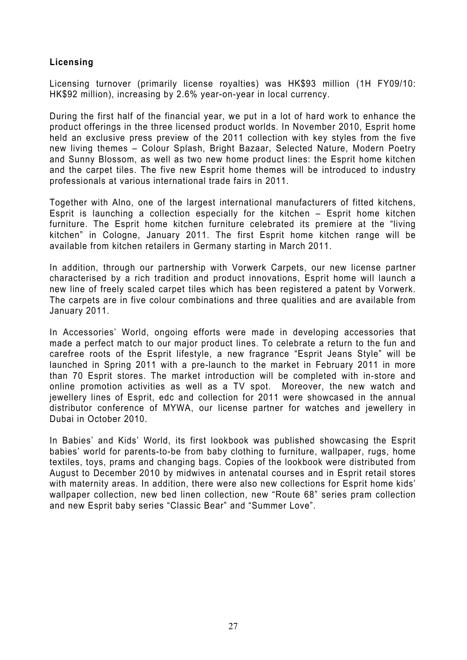### **Licensing**

Licensing turnover (primarily license royalties) was HK\$93 million (1H FY09/10: HK\$92 million), increasing by 2.6% year-on-year in local currency.

During the first half of the financial year, we put in a lot of hard work to enhance the product offerings in the three licensed product worlds. In November 2010, Esprit home held an exclusive press preview of the 2011 collection with key styles from the five new living themes – Colour Splash, Bright Bazaar, Selected Nature, Modern Poetry and Sunny Blossom, as well as two new home product lines: the Esprit home kitchen and the carpet tiles. The five new Esprit home themes will be introduced to industry professionals at various international trade fairs in 2011.

Together with Alno, one of the largest international manufacturers of fitted kitchens, Esprit is launching a collection especially for the kitchen – Esprit home kitchen furniture. The Esprit home kitchen furniture celebrated its premiere at the "living kitchen" in Cologne, January 2011. The first Esprit home kitchen range will be available from kitchen retailers in Germany starting in March 2011.

In addition, through our partnership with Vorwerk Carpets, our new license partner characterised by a rich tradition and product innovations, Esprit home will launch a new line of freely scaled carpet tiles which has been registered a patent by Vorwerk. The carpets are in five colour combinations and three qualities and are available from January 2011.

In Accessories' World, ongoing efforts were made in developing accessories that made a perfect match to our major product lines. To celebrate a return to the fun and carefree roots of the Esprit lifestyle, a new fragrance "Esprit Jeans Style" will be launched in Spring 2011 with a pre-launch to the market in February 2011 in more than 70 Esprit stores. The market introduction will be completed with in-store and online promotion activities as well as a TV spot. Moreover, the new watch and jewellery lines of Esprit, edc and collection for 2011 were showcased in the annual distributor conference of MYWA, our license partner for watches and jewellery in Dubai in October 2010.

In Babies' and Kids' World, its first lookbook was published showcasing the Esprit babies' world for parents-to-be from baby clothing to furniture, wallpaper, rugs, home textiles, toys, prams and changing bags. Copies of the lookbook were distributed from August to December 2010 by midwives in antenatal courses and in Esprit retail stores with maternity areas. In addition, there were also new collections for Esprit home kids' wallpaper collection, new bed linen collection, new "Route 68" series pram collection and new Esprit baby series "Classic Bear" and "Summer Love".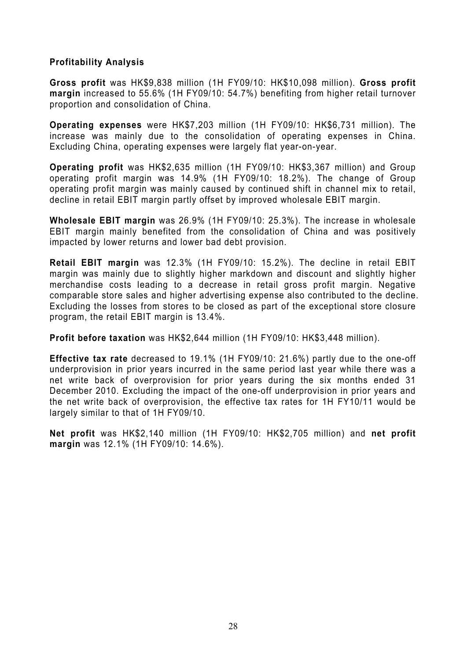### **Profitability Analysis**

**Gross profit** was HK\$9,838 million (1H FY09/10: HK\$10,098 million). **Gross profit margin** increased to 55.6% (1H FY09/10: 54.7%) benefiting from higher retail turnover proportion and consolidation of China.

**Operating expenses** were HK\$7,203 million (1H FY09/10: HK\$6,731 million). The increase was mainly due to the consolidation of operating expenses in China. Excluding China, operating expenses were largely flat year-on-year.

**Operating profit** was HK\$2,635 million (1H FY09/10: HK\$3,367 million) and Group operating profit margin was 14.9% (1H FY09/10: 18.2%). The change of Group operating profit margin was mainly caused by continued shift in channel mix to retail, decline in retail EBIT margin partly offset by improved wholesale EBIT margin.

**Wholesale EBIT margin** was 26.9% (1H FY09/10: 25.3%). The increase in wholesale EBIT margin mainly benefited from the consolidation of China and was positively impacted by lower returns and lower bad debt provision.

**Retail EBIT margin** was 12.3% (1H FY09/10: 15.2%). The decline in retail EBIT margin was mainly due to slightly higher markdown and discount and slightly higher merchandise costs leading to a decrease in retail gross profit margin. Negative comparable store sales and higher advertising expense also contributed to the decline. Excluding the losses from stores to be closed as part of the exceptional store closure program, the retail EBIT margin is 13.4%.

**Profit before taxation** was HK\$2,644 million (1H FY09/10: HK\$3,448 million).

**Effective tax rate** decreased to 19.1% (1H FY09/10: 21.6%) partly due to the one-off underprovision in prior years incurred in the same period last year while there was a net write back of overprovision for prior years during the six months ended 31 December 2010. Excluding the impact of the one-off underprovision in prior years and the net write back of overprovision, the effective tax rates for 1H FY10/11 would be largely similar to that of 1H FY09/10.

**Net profit** was HK\$2,140 million (1H FY09/10: HK\$2,705 million) and **net profit margin** was 12.1% (1H FY09/10: 14.6%).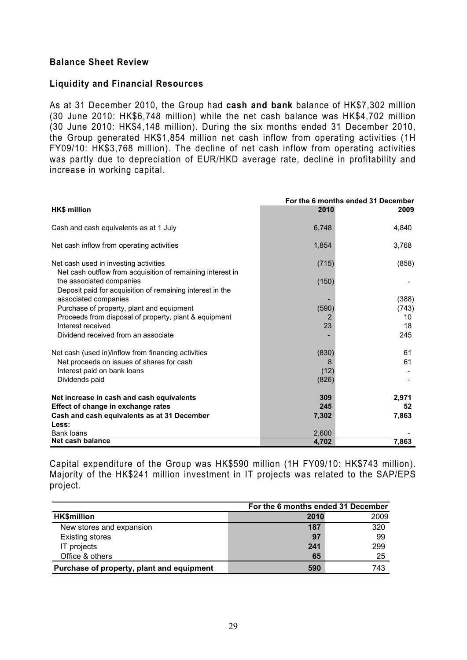### **Balance Sheet Review**

### **Liquidity and Financial Resources**

As at 31 December 2010, the Group had **cash and bank** balance of HK\$7,302 million (30 June 2010: HK\$6,748 million) while the net cash balance was HK\$4,702 million (30 June 2010: HK\$4,148 million). During the six months ended 31 December 2010, the Group generated HK\$1,854 million net cash inflow from operating activities (1H FY09/10: HK\$3,768 million). The decline of net cash inflow from operating activities was partly due to depreciation of EUR/HKD average rate, decline in profitability and increase in working capital.

|                                                                                                     |       | For the 6 months ended 31 December |
|-----------------------------------------------------------------------------------------------------|-------|------------------------------------|
| <b>HK\$</b> million                                                                                 | 2010  | 2009                               |
| Cash and cash equivalents as at 1 July                                                              | 6,748 | 4.840                              |
| Net cash inflow from operating activities                                                           | 1,854 | 3,768                              |
| Net cash used in investing activities<br>Net cash outflow from acquisition of remaining interest in | (715) | (858)                              |
| the associated companies<br>Deposit paid for acquisition of remaining interest in the               | (150) |                                    |
| associated companies                                                                                |       | (388)                              |
| Purchase of property, plant and equipment                                                           | (590) | (743)                              |
| Proceeds from disposal of property, plant & equipment                                               | 2     | 10                                 |
| Interest received                                                                                   | 23    | 18                                 |
| Dividend received from an associate                                                                 |       | 245                                |
| Net cash (used in)/inflow from financing activities                                                 | (830) | 61                                 |
| Net proceeds on issues of shares for cash                                                           | 8     | 61                                 |
| Interest paid on bank loans                                                                         | (12)  |                                    |
| Dividends paid                                                                                      | (826) |                                    |
| Net increase in cash and cash equivalents                                                           | 309   | 2,971                              |
| Effect of change in exchange rates                                                                  | 245   | 52                                 |
| Cash and cash equivalents as at 31 December                                                         | 7,302 | 7,863                              |
| Less:                                                                                               |       |                                    |
| <b>Bank loans</b>                                                                                   | 2,600 |                                    |
| Net cash balance                                                                                    | 4,702 | 7,863                              |

Capital expenditure of the Group was HK\$590 million (1H FY09/10: HK\$743 million). Majority of the HK\$241 million investment in IT projects was related to the SAP/EPS project.

|                                           | For the 6 months ended 31 December |      |
|-------------------------------------------|------------------------------------|------|
| <b>HK\$million</b>                        | 2010                               | 2009 |
| New stores and expansion                  | 187                                | 320  |
| <b>Existing stores</b>                    | 97                                 | -99  |
| IT projects                               | 241                                | 299  |
| Office & others                           | 65                                 | 25   |
| Purchase of property, plant and equipment | 590                                | 743  |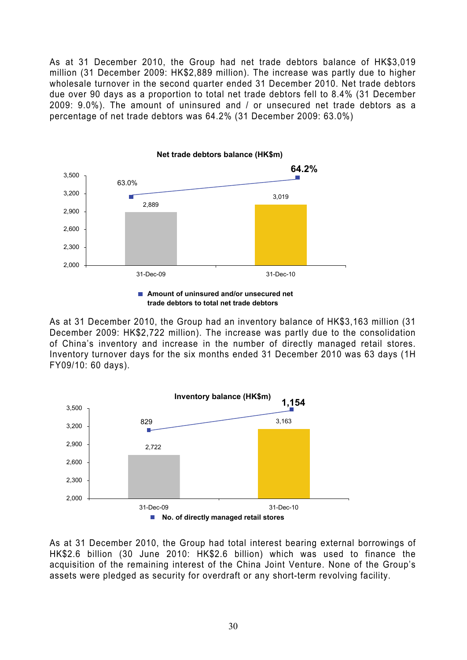As at 31 December 2010, the Group had net trade debtors balance of HK\$3,019 million (31 December 2009: HK\$2,889 million). The increase was partly due to higher wholesale turnover in the second quarter ended 31 December 2010. Net trade debtors due over 90 days as a proportion to total net trade debtors fell to 8.4% (31 December 2009: 9.0%). The amount of uninsured and / or unsecured net trade debtors as a percentage of net trade debtors was 64.2% (31 December 2009: 63.0%)



■ Amount of uninsured and/or unsecured net **trade debtors to total net trade debtors** 

As at 31 December 2010, the Group had an inventory balance of HK\$3,163 million (31 December 2009: HK\$2,722 million). The increase was partly due to the consolidation of China's inventory and increase in the number of directly managed retail stores. Inventory turnover days for the six months ended 31 December 2010 was 63 days (1H FY09/10: 60 days).



As at 31 December 2010, the Group had total interest bearing external borrowings of HK\$2.6 billion (30 June 2010: HK\$2.6 billion) which was used to finance the acquisition of the remaining interest of the China Joint Venture. None of the Group's assets were pledged as security for overdraft or any short-term revolving facility.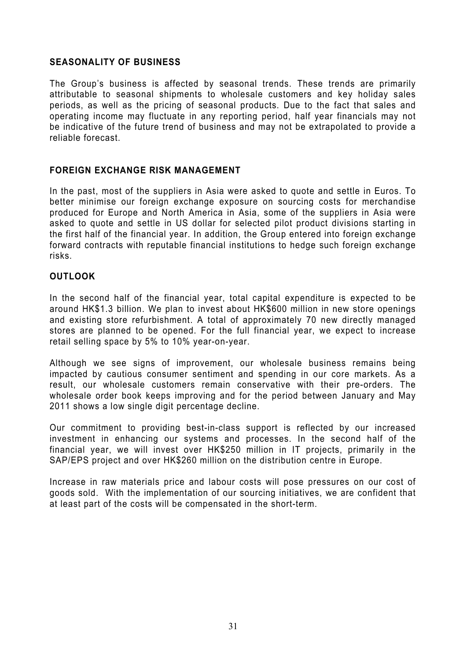### **SEASONALITY OF BUSINESS**

The Group's business is affected by seasonal trends. These trends are primarily attributable to seasonal shipments to wholesale customers and key holiday sales periods, as well as the pricing of seasonal products. Due to the fact that sales and operating income may fluctuate in any reporting period, half year financials may not be indicative of the future trend of business and may not be extrapolated to provide a reliable forecast.

### **FOREIGN EXCHANGE RISK MANAGEMENT**

In the past, most of the suppliers in Asia were asked to quote and settle in Euros. To better minimise our foreign exchange exposure on sourcing costs for merchandise produced for Europe and North America in Asia, some of the suppliers in Asia were asked to quote and settle in US dollar for selected pilot product divisions starting in the first half of the financial year. In addition, the Group entered into foreign exchange forward contracts with reputable financial institutions to hedge such foreign exchange risks.

### **OUTLOOK**

In the second half of the financial year, total capital expenditure is expected to be around HK\$1.3 billion. We plan to invest about HK\$600 million in new store openings and existing store refurbishment. A total of approximately 70 new directly managed stores are planned to be opened. For the full financial year, we expect to increase retail selling space by 5% to 10% year-on-year.

Although we see signs of improvement, our wholesale business remains being impacted by cautious consumer sentiment and spending in our core markets. As a result, our wholesale customers remain conservative with their pre-orders. The wholesale order book keeps improving and for the period between January and May 2011 shows a low single digit percentage decline.

Our commitment to providing best-in-class support is reflected by our increased investment in enhancing our systems and processes. In the second half of the financial year, we will invest over HK\$250 million in IT projects, primarily in the SAP/EPS project and over HK\$260 million on the distribution centre in Europe.

Increase in raw materials price and labour costs will pose pressures on our cost of goods sold. With the implementation of our sourcing initiatives, we are confident that at least part of the costs will be compensated in the short-term.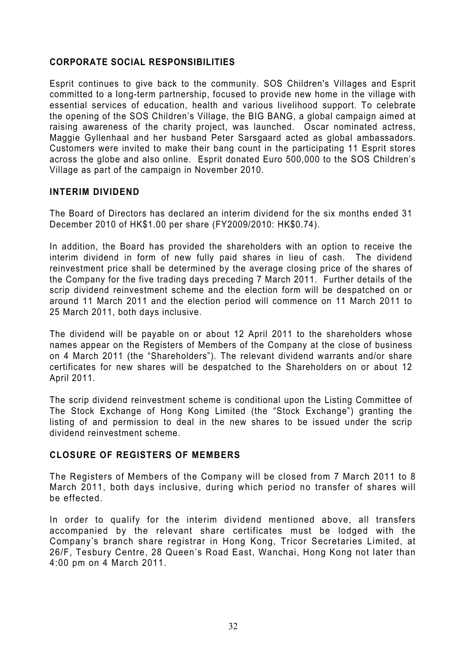### **CORPORATE SOCIAL RESPONSIBILITIES**

Esprit continues to give back to the community. SOS Children's Villages and Esprit committed to a long-term partnership, focused to provide new home in the village with essential services of education, health and various livelihood support. To celebrate the opening of the SOS Children's Village, the BIG BANG, a global campaign aimed at raising awareness of the charity project, was launched. Oscar nominated actress, Maggie Gyllenhaal and her husband Peter Sarsgaard acted as global ambassadors. Customers were invited to make their bang count in the participating 11 Esprit stores across the globe and also online. Esprit donated Euro 500,000 to the SOS Children's Village as part of the campaign in November 2010.

### **INTERIM DIVIDEND**

The Board of Directors has declared an interim dividend for the six months ended 31 December 2010 of HK\$1.00 per share (FY2009/2010: HK\$0.74).

In addition, the Board has provided the shareholders with an option to receive the interim dividend in form of new fully paid shares in lieu of cash. The dividend reinvestment price shall be determined by the average closing price of the shares of the Company for the five trading days preceding 7 March 2011. Further details of the scrip dividend reinvestment scheme and the election form will be despatched on or around 11 March 2011 and the election period will commence on 11 March 2011 to 25 March 2011, both days inclusive.

The dividend will be payable on or about 12 April 2011 to the shareholders whose names appear on the Registers of Members of the Company at the close of business on 4 March 2011 (the "Shareholders"). The relevant dividend warrants and/or share certificates for new shares will be despatched to the Shareholders on or about 12 April 2011.

The scrip dividend reinvestment scheme is conditional upon the Listing Committee of The Stock Exchange of Hong Kong Limited (the "Stock Exchange") granting the listing of and permission to deal in the new shares to be issued under the scrip dividend reinvestment scheme.

### **CLOSURE OF REGISTERS OF MEMBERS**

The Registers of Members of the Company will be closed from 7 March 2011 to 8 March 2011, both days inclusive, during which period no transfer of shares will be effected.

In order to qualify for the interim dividend mentioned above, all transfers accompanied by the relevant share certificates must be lodged with the Company's branch share registrar in Hong Kong, Tricor Secretaries Limited, at 26/F, Tesbury Centre, 28 Queen's Road East, Wanchai, Hong Kong not later than 4:00 pm on 4 March 2011.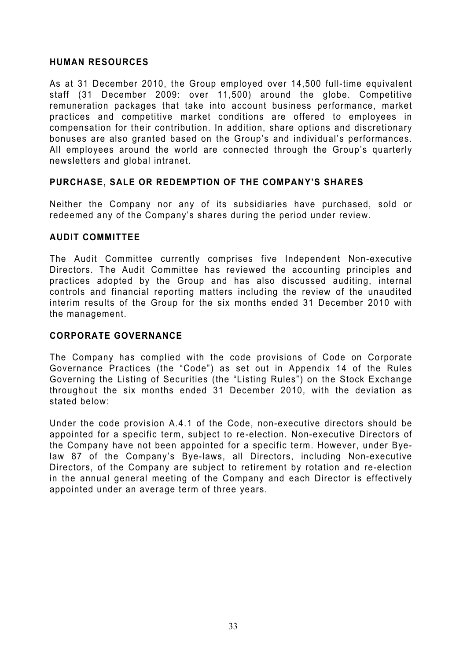### **HUMAN RESOURCES**

As at 31 December 2010, the Group employed over 14,500 full-time equivalent staff (31 December 2009: over 11,500) around the globe. Competitive remuneration packages that take into account business performance, market practices and competitive market conditions are offered to employees in compensation for their contribution. In addition, share options and discretionary bonuses are also granted based on the Group's and individual's performances. All employees around the world are connected through the Group's quarterly newsletters and global intranet.

### **PURCHASE, SALE OR REDEMPTION OF THE COMPANY'S SHARES**

Neither the Company nor any of its subsidiaries have purchased, sold or redeemed any of the Company's shares during the period under review.

### **AUDIT COMMITTEE**

The Audit Committee currently comprises five Independent Non-executive Directors. The Audit Committee has reviewed the accounting principles and practices adopted by the Group and has also discussed auditing, internal controls and financial reporting matters including the review of the unaudited interim results of the Group for the six months ended 31 December 2010 with the management.

### **CORPORATE GOVERNANCE**

The Company has complied with the code provisions of Code on Corporate Governance Practices (the "Code") as set out in Appendix 14 of the Rules Governing the Listing of Securities (the "Listing Rules") on the Stock Exchange throughout the six months ended 31 December 2010, with the deviation as stated below:

Under the code provision A.4.1 of the Code, non-executive directors should be appointed for a specific term, subject to re-election. Non-executive Directors of the Company have not been appointed for a specific term. However, under Byelaw 87 of the Company's Bye-laws, all Directors, including Non-executive Directors, of the Company are subject to retirement by rotation and re-election in the annual general meeting of the Company and each Director is effectively appointed under an average term of three years.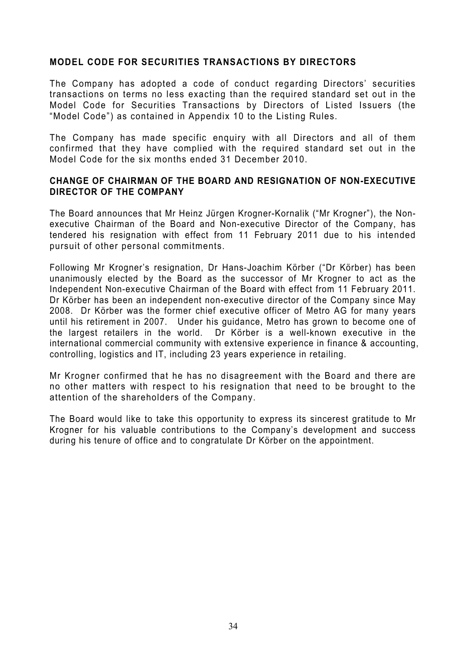### **MODEL CODE FOR SECURITIES TRANSACTIONS BY DIRECTORS**

The Company has adopted a code of conduct regarding Directors' securities transactions on terms no less exacting than the required standard set out in the Model Code for Securities Transactions by Directors of Listed Issuers (the "Model Code") as contained in Appendix 10 to the Listing Rules.

The Company has made specific enquiry with all Directors and all of them confirmed that they have complied with the required standard set out in the Model Code for the six months ended 31 December 2010.

### **CHANGE OF CHAIRMAN OF THE BOARD AND RESIGNATION OF NON-EXECUTIVE DIRECTOR OF THE COMPANY**

The Board announces that Mr Heinz Jürgen Krogner-Kornalik ("Mr Krogner"), the Nonexecutive Chairman of the Board and Non-executive Director of the Company, has tendered his resignation with effect from 11 February 2011 due to his intended pursuit of other personal commitments.

Following Mr Krogner's resignation, Dr Hans-Joachim Körber ("Dr Körber) has been unanimously elected by the Board as the successor of Mr Krogner to act as the Independent Non-executive Chairman of the Board with effect from 11 February 2011. Dr Körber has been an independent non-executive director of the Company since May 2008. Dr Körber was the former chief executive officer of Metro AG for many years until his retirement in 2007. Under his guidance, Metro has grown to become one of the largest retailers in the world. Dr Körber is a well-known executive in the international commercial community with extensive experience in finance & accounting, controlling, logistics and IT, including 23 years experience in retailing.

Mr Krogner confirmed that he has no disagreement with the Board and there are no other matters with respect to his resignation that need to be brought to the attention of the shareholders of the Company.

The Board would like to take this opportunity to express its sincerest gratitude to Mr Krogner for his valuable contributions to the Company's development and success during his tenure of office and to congratulate Dr Körber on the appointment.